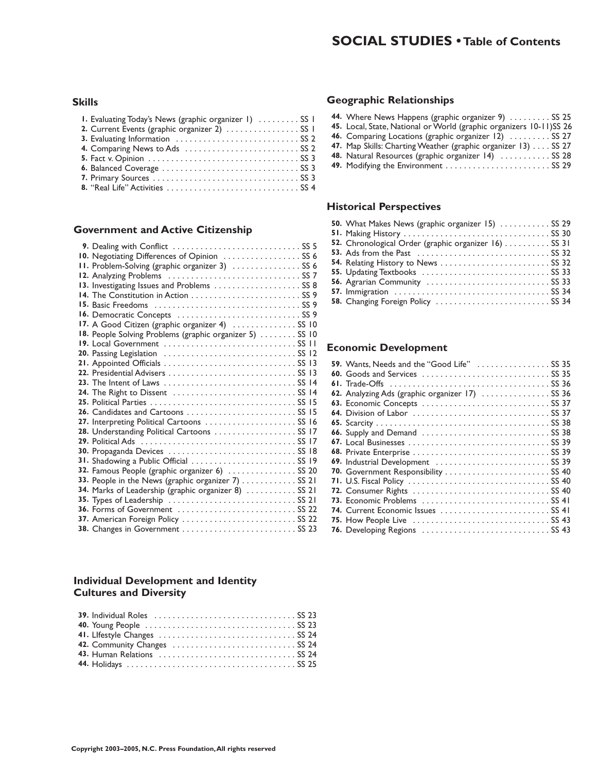#### **Skills**

| I. Evaluating Today's News (graphic organizer 1)  SS 1 |  |
|--------------------------------------------------------|--|
| 2. Current Events (graphic organizer 2)  SS 1          |  |
|                                                        |  |
|                                                        |  |
|                                                        |  |
|                                                        |  |
|                                                        |  |
|                                                        |  |

#### **Government and Active Citizenship**

| 10. Negotiating Differences of Opinion  SS 6             |
|----------------------------------------------------------|
| II. Problem-Solving (graphic organizer 3)  SS 6          |
|                                                          |
| 13. Investigating Issues and Problems  SS 8              |
| 14. The Constitution in Action  SS 9                     |
|                                                          |
|                                                          |
| 17. A Good Citizen (graphic organizer 4)  SS 10          |
| 18. People Solving Problems (graphic organizer 5)  SS 10 |
|                                                          |
|                                                          |
|                                                          |
|                                                          |
|                                                          |
| 24. The Right to Dissent  SS 14                          |
|                                                          |
| 26. Candidates and Cartoons  SS 15                       |
| 27. Interpreting Political Cartoons  SS 16               |
| 28. Understanding Political Cartoons  SS 17              |
|                                                          |
| 30. Propaganda Devices  SS 18                            |
| 31. Shadowing a Public Official  SS 19                   |
| 32. Famous People (graphic organizer 6)  SS 20           |
| 33. People in the News (graphic organizer 7)  SS 21      |
| 34. Marks of Leadership (graphic organizer 8)  SS 21     |
|                                                          |
| 36. Forms of Government  SS 22                           |
| 37. American Foreign Policy  SS 22                       |
|                                                          |

#### **Individual Development and Identity Cultures and Diversity**

| 42. Community Changes  SS 24 |  |
|------------------------------|--|
|                              |  |
|                              |  |

#### **Geographic Relationships**

| 44. Where News Happens (graphic organizer 9)  SS 25                 |  |
|---------------------------------------------------------------------|--|
| 45. Local, State, National or World (graphic organizers 10-11)SS 26 |  |
| 46. Comparing Locations (graphic organizer 12)  SS 27               |  |
| 47. Map Skills: Charting Weather (graphic organizer 13) SS 27       |  |
| 48. Natural Resources (graphic organizer 14)  SS 28                 |  |
|                                                                     |  |
|                                                                     |  |

#### **Historical Perspectives**

| 50. What Makes News (graphic organizer 15)  SS 29    |  |
|------------------------------------------------------|--|
|                                                      |  |
| 52. Chronological Order (graphic organizer 16) SS 31 |  |
|                                                      |  |
|                                                      |  |
|                                                      |  |
|                                                      |  |
|                                                      |  |
| 58. Changing Foreign Policy  SS 34                   |  |

#### **Economic Development**

| 59. Wants, Needs and the "Good Life"  SS 35     |
|-------------------------------------------------|
|                                                 |
|                                                 |
| 62. Analyzing Ads (graphic organizer 17)  SS 36 |
|                                                 |
|                                                 |
|                                                 |
|                                                 |
|                                                 |
|                                                 |
| 69. Industrial Development  SS 39               |
| 70. Government Responsibility  SS 40            |
|                                                 |
|                                                 |
|                                                 |
| 74. Current Economic Issues  SS 41              |
|                                                 |
| 76. Developing Regions  SS 43                   |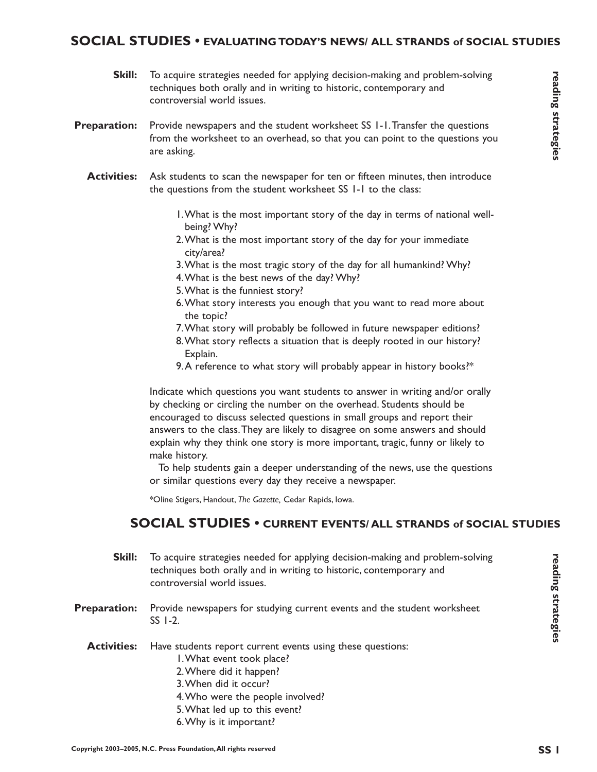#### **SOCIAL STUDIES • EVALUATING TODAY'S NEWS/ ALL STRANDS of SOCIAL STUDIES**

- To acquire strategies needed for applying decision-making and problem-solving techniques both orally and in writing to historic, contemporary and controversial world issues. **Skill:**
- Provide newspapers and the student worksheet SS 1-1.Transfer the questions from the worksheet to an overhead, so that you can point to the questions you are asking. **Preparation:**
	- Ask students to scan the newspaper for ten or fifteen minutes, then introduce the questions from the student worksheet SS 1-1 to the class: **Activities:**
		- 1.What is the most important story of the day in terms of national wellbeing? Why?
		- 2.What is the most important story of the day for your immediate city/area?
		- 3.What is the most tragic story of the day for all humankind? Why?
		- 4.What is the best news of the day? Why?
		- 5.What is the funniest story?
		- 6.What story interests you enough that you want to read more about the topic?
		- 7.What story will probably be followed in future newspaper editions?
		- 8.What story reflects a situation that is deeply rooted in our history? Explain.
		- 9. A reference to what story will probably appear in history books?\*

Indicate which questions you want students to answer in writing and/or orally by checking or circling the number on the overhead. Students should be encouraged to discuss selected questions in small groups and report their answers to the class.They are likely to disagree on some answers and should explain why they think one story is more important, tragic, funny or likely to make history.

To help students gain a deeper understanding of the news, use the questions or similar questions every day they receive a newspaper.

\*Oline Stigers, Handout, *The Gazette,* Cedar Rapids, Iowa.

#### **SOCIAL STUDIES • CURRENT EVENTS/ ALL STRANDS of SOCIAL STUDIES**

- **Skill:** To acquire strategies needed for applying decision-making and problem-solving techniques both orally and in writing to historic, contemporary and controversial world issues.
- **Preparation:** Provide newspapers for studying current events and the student worksheet SS 1-2.
	- **Activities:** Have students report current events using these questions:
		- 1.What event took place?
		- 2.Where did it happen?
		- 3.When did it occur?
		- 4.Who were the people involved?
		- 5.What led up to this event?
		- 6.Why is it important?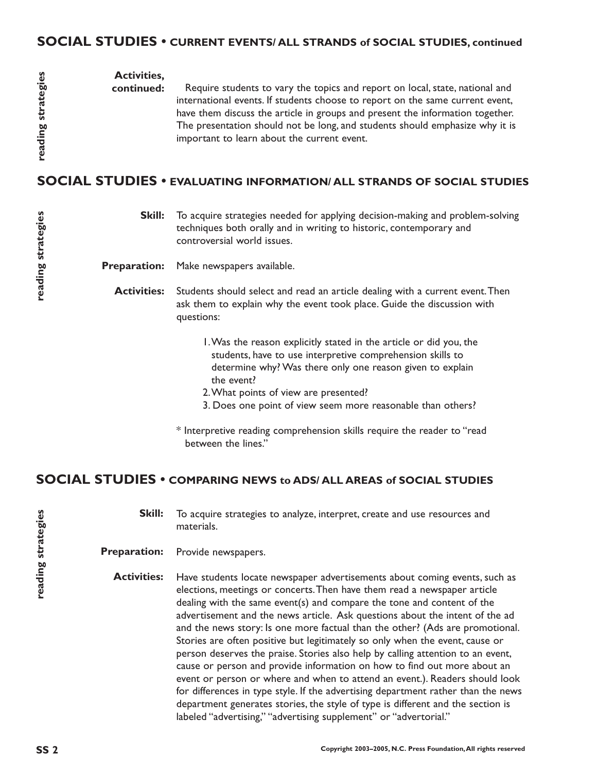**Activities,**

**continued:** Require students to vary the topics and report on local, state, national and international events. If students choose to report on the same current event, have them discuss the article in groups and present the information together. The presentation should not be long, and students should emphasize why it is important to learn about the current event.

# **SOCIAL STUDIES • EVALUATING INFORMATION/ ALL STRANDS OF SOCIAL STUDIES**

**Skill:** To acquire strategies needed for applying decision-making and problem-solving techniques both orally and in writing to historic, contemporary and controversial world issues.

**Preparation:** Make newspapers available.

**Activities:** Students should select and read an article dealing with a current event.Then ask them to explain why the event took place. Guide the discussion with questions:

- 1.Was the reason explicitly stated in the article or did you, the students, have to use interpretive comprehension skills to determine why? Was there only one reason given to explain the event?
- 2.What points of view are presented?
- 3. Does one point of view seem more reasonable than others?
- \* Interpretive reading comprehension skills require the reader to "read between the lines."

## **SOCIAL STUDIES • COMPARING NEWS to ADS/ ALL AREAS of SOCIAL STUDIES**

**Skill:** To acquire strategies to analyze, interpret, create and use resources and materials.

**Preparation:** Provide newspapers.

**Activities:** Have students locate newspaper advertisements about coming events, such as elections, meetings or concerts.Then have them read a newspaper article dealing with the same event(s) and compare the tone and content of the advertisement and the news article. Ask questions about the intent of the ad and the news story: Is one more factual than the other? (Ads are promotional. Stories are often positive but legitimately so only when the event, cause or person deserves the praise. Stories also help by calling attention to an event, cause or person and provide information on how to find out more about an event or person or where and when to attend an event.). Readers should look for differences in type style. If the advertising department rather than the news department generates stories, the style of type is different and the section is labeled "advertising," "advertising supplement" or "advertorial."

**reading strategies**

reading strategies

**reading strategies**

reading strategies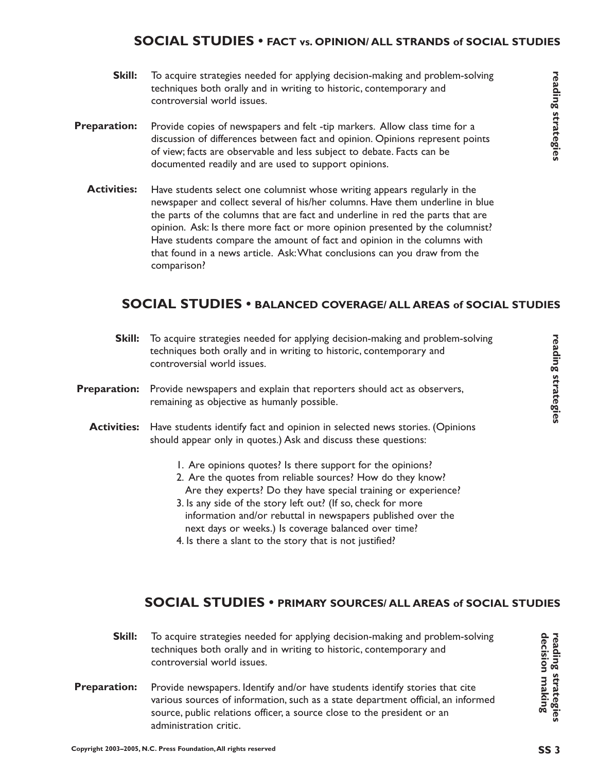## **SOCIAL STUDIES • FACT vs. OPINION/ ALL STRANDS of SOCIAL STUDIES**

- **Skill:** To acquire strategies needed for applying decision-making and problem-solving techniques both orally and in writing to historic, contemporary and controversial world issues.
- **Preparation:** Provide copies of newspapers and felt -tip markers. Allow class time for a discussion of differences between fact and opinion. Opinions represent points of view; facts are observable and less subject to debate. Facts can be documented readily and are used to support opinions.
	- **Activities:** Have students select one columnist whose writing appears regularly in the newspaper and collect several of his/her columns. Have them underline in blue the parts of the columns that are fact and underline in red the parts that are opinion. Ask: Is there more fact or more opinion presented by the columnist? Have students compare the amount of fact and opinion in the columns with that found in a news article. Ask:What conclusions can you draw from the comparison?

## **SOCIAL STUDIES • BALANCED COVERAGE/ ALL AREAS of SOCIAL STUDIES**

- **Skill:** To acquire strategies needed for applying decision-making and problem-solving techniques both orally and in writing to historic, contemporary and controversial world issues.
- **Preparation:** Provide newspapers and explain that reporters should act as observers, remaining as objective as humanly possible.
	- **Activities:** Have students identify fact and opinion in selected news stories. (Opinions should appear only in quotes.) Ask and discuss these questions:
		- 1. Are opinions quotes? Is there support for the opinions?
		- 2. Are the quotes from reliable sources? How do they know? Are they experts? Do they have special training or experience?
		- 3. Is any side of the story left out? (If so, check for more information and/or rebuttal in newspapers published over the next days or weeks.) Is coverage balanced over time?
		- 4. Is there a slant to the story that is not justified?

#### **SOCIAL STUDIES • PRIMARY SOURCES/ ALL AREAS of SOCIAL STUDIES**

- **Skill:** To acquire strategies needed for applying decision-making and problem-solving techniques both orally and in writing to historic, contemporary and controversial world issues.
- **Preparation:** Provide newspapers. Identify and/or have students identify stories that cite various sources of information, such as a state department official, an informed source, public relations officer, a source close to the president or an administration critic.

**reading strategies decision making**

decision making reading strategies<br>reading strategies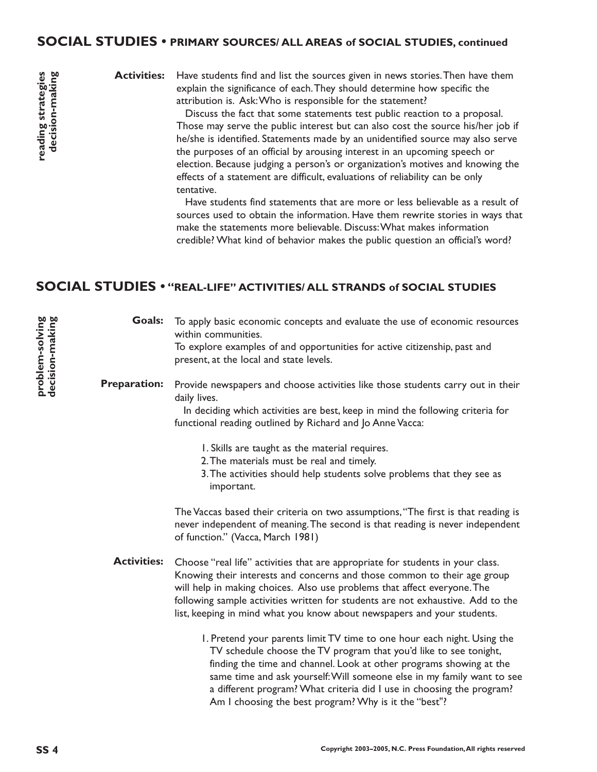### **SOCIAL STUDIES • PRIMARY SOURCES/ ALL AREAS of SOCIAL STUDIES, continued**

**Activities:**

Have students find and list the sources given in news stories.Then have them explain the significance of each.They should determine how specific the attribution is. Ask:Who is responsible for the statement?

Discuss the fact that some statements test public reaction to a proposal. Those may serve the public interest but can also cost the source his/her job if he/she is identified. Statements made by an unidentified source may also serve the purposes of an official by arousing interest in an upcoming speech or election. Because judging a person's or organization's motives and knowing the effects of a statement are difficult, evaluations of reliability can be only tentative.

Have students find statements that are more or less believable as a result of sources used to obtain the information. Have them rewrite stories in ways that make the statements more believable. Discuss:What makes information credible? What kind of behavior makes the public question an official's word?

## **SOCIAL STUDIES • "REAL-LIFE" ACTIVITIES/ ALL STRANDS of SOCIAL STUDIES**

**Goals:** To apply basic economic concepts and evaluate the use of economic resources within communities. To explore examples of and opportunities for active citizenship, past and present, at the local and state levels.

#### **Preparation:** Provide newspapers and choose activities like those students carry out in their daily lives.

In deciding which activities are best, keep in mind the following criteria for functional reading outlined by Richard and Jo Anne Vacca:

- 1. Skills are taught as the material requires.
- 2.The materials must be real and timely.
- 3.The activities should help students solve problems that they see as important.

The Vaccas based their criteria on two assumptions,"The first is that reading is never independent of meaning.The second is that reading is never independent of function." (Vacca, March 1981)

Activities: Choose "real life" activities that are appropriate for students in your class. Knowing their interests and concerns and those common to their age group will help in making choices. Also use problems that affect everyone.The following sample activities written for students are not exhaustive. Add to the list, keeping in mind what you know about newspapers and your students.

> 1. Pretend your parents limit TV time to one hour each night. Using the TV schedule choose the TV program that you'd like to see tonight, finding the time and channel. Look at other programs showing at the same time and ask yourself:Will someone else in my family want to see a different program? What criteria did I use in choosing the program? Am I choosing the best program? Why is it the "best"?

**problem-solving decision-making**

**reading strategies decision-making**

reading strategies decision-making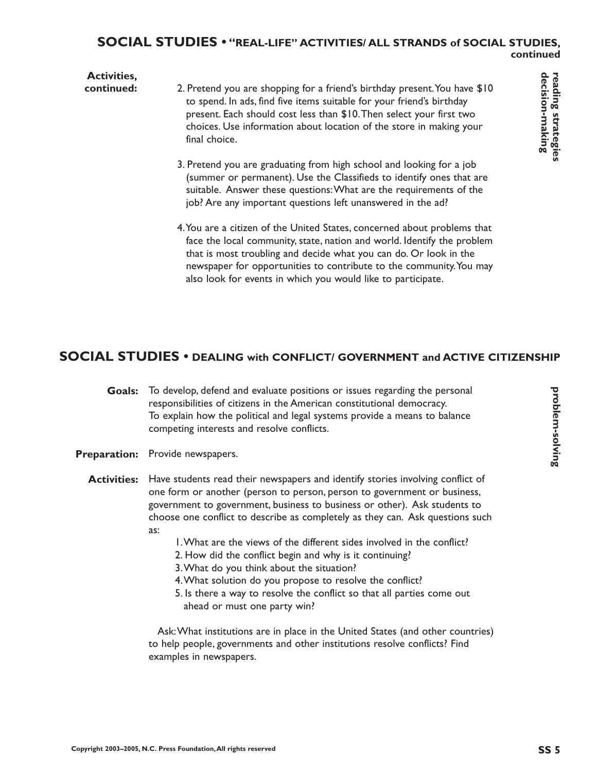#### **Activities, continued:** 2. Pretend you are shopping for a friend's birthday present. You have \$10 to spend. In ads, find five items suitable for your friend's birthday present. Each should cost less than \$10.Then select your first two choices. Use information about location of the store in making your final choice.

- 3. Pretend you are graduating from high school and looking for a job (summer or permanent). Use the Classifieds to identify ones that are suitable. Answer these questions:What are the requirements of the job? Are any important questions left unanswered in the ad?
- 4.You are a citizen of the United States, concerned about problems that face the local community, state, nation and world. Identify the problem that is most troubling and decide what you can do. Or look in the newspaper for opportunities to contribute to the community.You may also look for events in which you would like to participate.

## **SOCIAL STUDIES • DEALING with CONFLICT/ GOVERNMENT and ACTIVE CITIZENSHIP**

- **Goals:** To develop, defend and evaluate positions or issues regarding the personal responsibilities of citizens in the American constitutional democracy. To explain how the political and legal systems provide a means to balance competing interests and resolve conflicts.
- Preparation: Provide newspapers.

**Activities:** Have students read their newspapers and identify stories involving conflict of one form or another (person to person, person to government or business, government to government, business to business or other). Ask students to choose one conflict to describe as completely as they can. Ask questions such as:

- 1.What are the views of the different sides involved in the conflict?
- 2. How did the conflict begin and why is it continuing?
- 3.What do you think about the situation?
- 4.What solution do you propose to resolve the conflict?
- 5. Is there a way to resolve the conflict so that all parties come out ahead or must one party win?

Ask:What institutions are in place in the United States (and other countries) to help people, governments and other institutions resolve conflicts? Find examples in newspapers.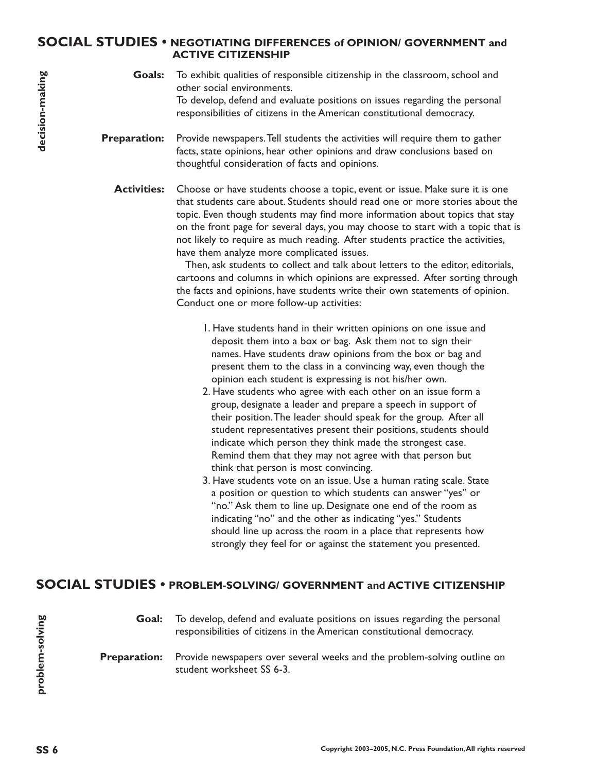#### **SOCIAL STUDIES • NEGOTIATING DIFFERENCES of OPINION/ GOVERNMENT and ACTIVE CITIZENSHIP**

**Goals:** To exhibit qualities of responsible citizenship in the classroom, school and other social environments. To develop, defend and evaluate positions on issues regarding the personal responsibilities of citizens in the American constitutional democracy.

**Preparation:** Provide newspapers.Tell students the activities will require them to gather facts, state opinions, hear other opinions and draw conclusions based on thoughtful consideration of facts and opinions.

**Activities:** Choose or have students choose a topic, event or issue. Make sure it is one that students care about. Students should read one or more stories about the topic. Even though students may find more information about topics that stay on the front page for several days, you may choose to start with a topic that is not likely to require as much reading. After students practice the activities, have them analyze more complicated issues.

> Then, ask students to collect and talk about letters to the editor, editorials, cartoons and columns in which opinions are expressed. After sorting through the facts and opinions, have students write their own statements of opinion. Conduct one or more follow-up activities:

- 1. Have students hand in their written opinions on one issue and deposit them into a box or bag. Ask them not to sign their names. Have students draw opinions from the box or bag and present them to the class in a convincing way, even though the opinion each student is expressing is not his/her own.
- 2. Have students who agree with each other on an issue form a group, designate a leader and prepare a speech in support of their position.The leader should speak for the group. After all student representatives present their positions, students should indicate which person they think made the strongest case. Remind them that they may not agree with that person but think that person is most convincing.
- 3. Have students vote on an issue. Use a human rating scale. State a position or question to which students can answer "yes" or "no." Ask them to line up. Designate one end of the room as indicating "no" and the other as indicating "yes." Students should line up across the room in a place that represents how strongly they feel for or against the statement you presented.

## **SOCIAL STUDIES • PROBLEM-SOLVING/ GOVERNMENT and ACTIVE CITIZENSHIP**

**Goal:** To develop, defend and evaluate positions on issues regarding the personal responsibilities of citizens in the American constitutional democracy.

**Preparation:** Provide newspapers over several weeks and the problem-solving outline on student worksheet SS 6-3.

**problem-solving**

arivlos-meldonc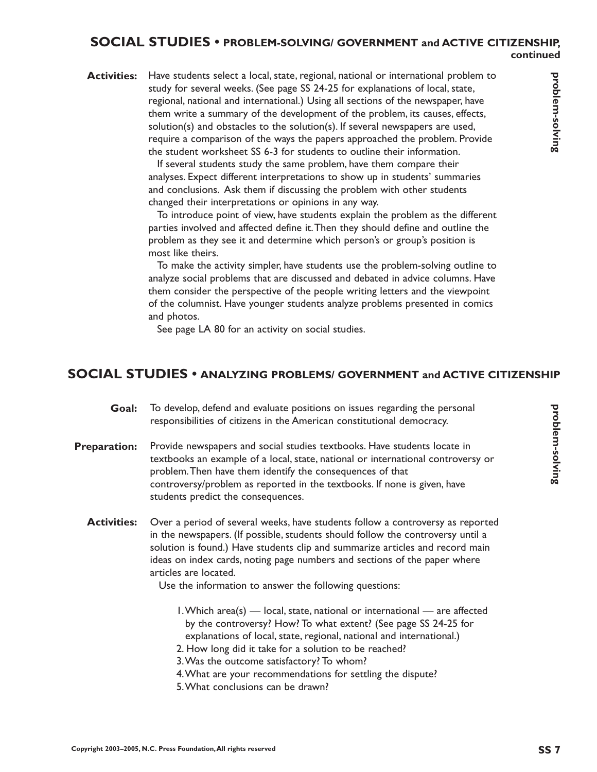#### **SOCIAL STUDIES • PROBLEM-SOLVING/ GOVERNMENT and ACTIVE CITIZENSHIP, continued**

**Activities:** Have students select a local, state, regional, national or international problem to study for several weeks. (See page SS 24-25 for explanations of local, state, regional, national and international.) Using all sections of the newspaper, have them write a summary of the development of the problem, its causes, effects, solution(s) and obstacles to the solution(s). If several newspapers are used, require a comparison of the ways the papers approached the problem. Provide the student worksheet SS 6-3 for students to outline their information.

> If several students study the same problem, have them compare their analyses. Expect different interpretations to show up in students' summaries and conclusions. Ask them if discussing the problem with other students changed their interpretations or opinions in any way.

To introduce point of view, have students explain the problem as the different parties involved and affected define it.Then they should define and outline the problem as they see it and determine which person's or group's position is most like theirs.

To make the activity simpler, have students use the problem-solving outline to analyze social problems that are discussed and debated in advice columns. Have them consider the perspective of the people writing letters and the viewpoint of the columnist. Have younger students analyze problems presented in comics and photos.

See page LA 80 for an activity on social studies.

#### **SOCIAL STUDIES • ANALYZING PROBLEMS/ GOVERNMENT and ACTIVE CITIZENSHIP**

- **Goal:** To develop, defend and evaluate positions on issues regarding the personal responsibilities of citizens in the American constitutional democracy.
- **Preparation:** Provide newspapers and social studies textbooks. Have students locate in textbooks an example of a local, state, national or international controversy or problem.Then have them identify the consequences of that controversy/problem as reported in the textbooks. If none is given, have students predict the consequences.
	- **Activities:** Over a period of several weeks, have students follow a controversy as reported in the newspapers. (If possible, students should follow the controversy until a solution is found.) Have students clip and summarize articles and record main ideas on index cards, noting page numbers and sections of the paper where articles are located.

Use the information to answer the following questions:

- 1.Which area(s) local, state, national or international are affected by the controversy? How? To what extent? (See page SS 24-25 for explanations of local, state, regional, national and international.)
- 2. How long did it take for a solution to be reached?
- 3.Was the outcome satisfactory? To whom?
- 4.What are your recommendations for settling the dispute?
- 5.What conclusions can be drawn?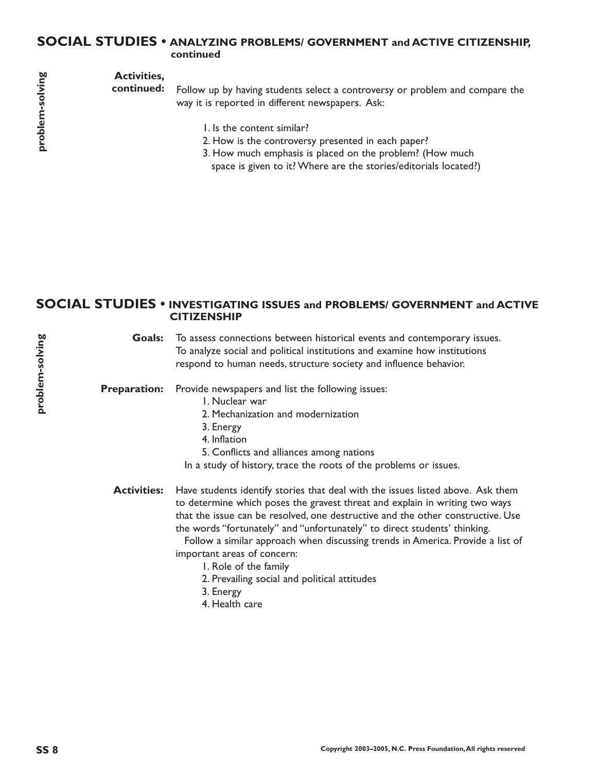#### **SOCIAL STUDIES • ANALYZING PROBLEMS/ GOVERNMENT and ACTIVE CITIZENSHIP, continued**

## **Activities,**

**continued:**

Follow up by having students select a controversy or problem and compare the way it is reported in different newspapers. Ask:

- 1. Is the content similar?
- 2. How is the controversy presented in each paper?
- 3. How much emphasis is placed on the problem? (How much space is given to it? Where are the stories/editorials located?)

#### **SOCIAL STUDIES • INVESTIGATING ISSUES and PROBLEMS/ GOVERNMENT and ACTIVE CITIZENSHIP**

Goals: To assess connections between historical events and contemporary issues. To analyze social and political institutions and examine how institutions respond to human needs, structure society and influence behavior.

Provide newspapers and list the following issues: **Preparation:**

- 1. Nuclear war
- 2. Mechanization and modernization
- 3. Energy
- 4. Inflation
- 5. Conflicts and alliances among nations

In a study of history, trace the roots of the problems or issues.

Have students identify stories that deal with the issues listed above. Ask them to determine which poses the gravest threat and explain in writing two ways that the issue can be resolved, one destructive and the other constructive. Use the words "fortunately" and "unfortunately" to direct students' thinking. **Activities:**

Follow a similar approach when discussing trends in America. Provide a list of important areas of concern:

- 1. Role of the family
- 2. Prevailing social and political attitudes
- 3. Energy
- 4. Health care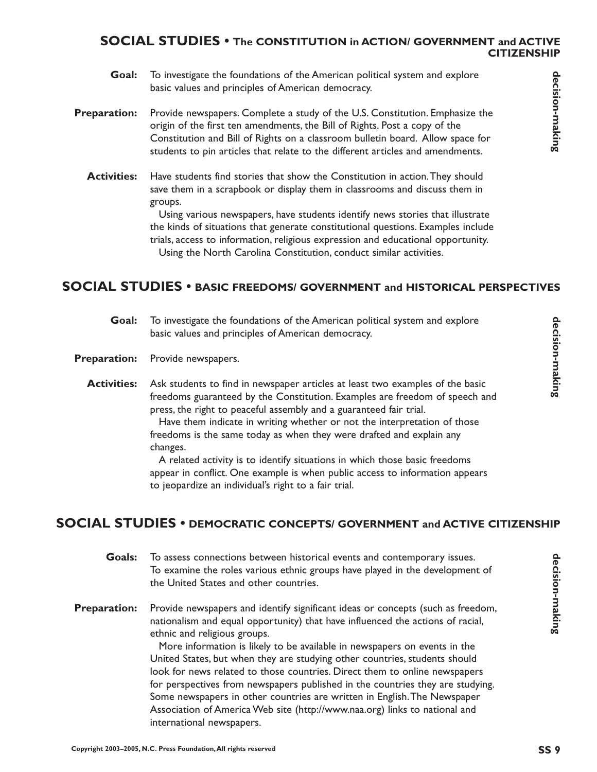## **SOCIAL STUDIES • The CONSTITUTION in ACTION/ GOVERNMENT and ACTIVE CITIZENSHIP**

- To investigate the foundations of the American political system and explore basic values and principles of American democracy. **Goal:**
- Provide newspapers. Complete a study of the U.S. Constitution. Emphasize the origin of the first ten amendments, the Bill of Rights. Post a copy of the Constitution and Bill of Rights on a classroom bulletin board. Allow space for students to pin articles that relate to the different articles and amendments. **Preparation:**
	- Have students find stories that show the Constitution in action.They should save them in a scrapbook or display them in classrooms and discuss them in groups. **Activities:**

Using various newspapers, have students identify news stories that illustrate the kinds of situations that generate constitutional questions. Examples include trials, access to information, religious expression and educational opportunity. Using the North Carolina Constitution, conduct similar activities.

## **SOCIAL STUDIES • BASIC FREEDOMS/ GOVERNMENT and HISTORICAL PERSPECTIVES**

- To investigate the foundations of the American political system and explore basic values and principles of American democracy. **Goal:**
- Preparation: Provide newspapers.
	- Ask students to find in newspaper articles at least two examples of the basic freedoms guaranteed by the Constitution. Examples are freedom of speech and press, the right to peaceful assembly and a guaranteed fair trial. Have them indicate in writing whether or not the interpretation of those **Activities:**

freedoms is the same today as when they were drafted and explain any changes.

A related activity is to identify situations in which those basic freedoms appear in conflict. One example is when public access to information appears to jeopardize an individual's right to a fair trial.

## **SOCIAL STUDIES • DEMOCRATIC CONCEPTS/ GOVERNMENT and ACTIVE CITIZENSHIP**

- To assess connections between historical events and contemporary issues. To examine the roles various ethnic groups have played in the development of the United States and other countries. **Goals:**
- Provide newspapers and identify significant ideas or concepts (such as freedom, nationalism and equal opportunity) that have influenced the actions of racial, ethnic and religious groups. **Preparation:**

More information is likely to be available in newspapers on events in the United States, but when they are studying other countries, students should look for news related to those countries. Direct them to online newspapers for perspectives from newspapers published in the countries they are studying. Some newspapers in other countries are written in English.The Newspaper Association of America Web site (http://www.naa.org) links to national and international newspapers.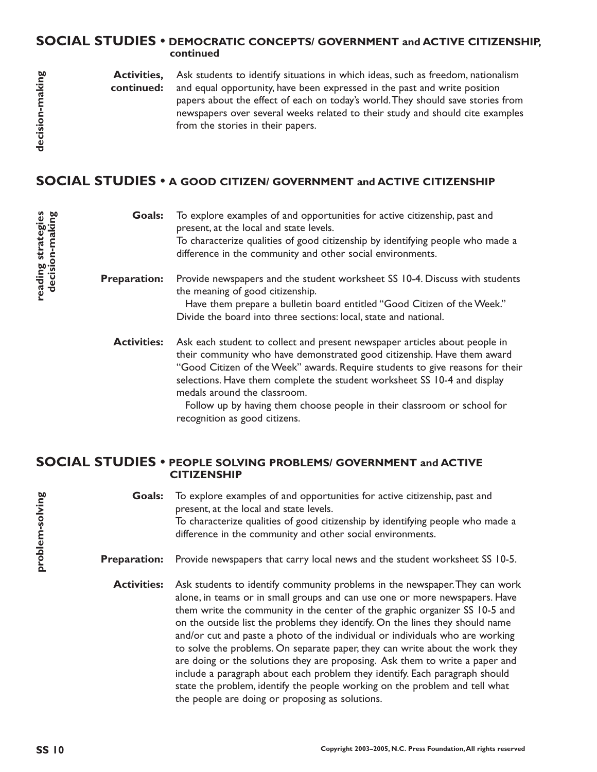#### **SOCIAL STUDIES • DEMOCRATIC CONCEPTS/ GOVERNMENT and ACTIVE CITIZENSHIP, continued**

Ask students to identify situations in which ideas, such as freedom, nationalism and equal opportunity, have been expressed in the past and write position papers about the effect of each on today's world.They should save stories from newspapers over several weeks related to their study and should cite examples from the stories in their papers. **Activities, continued:**

## **SOCIAL STUDIES • A GOOD CITIZEN/ GOVERNMENT and ACTIVE CITIZENSHIP**

To explore examples of and opportunities for active citizenship, past and present, at the local and state levels. To characterize qualities of good citizenship by identifying people who made a difference in the community and other social environments. Provide newspapers and the student worksheet SS 10-4. Discuss with students the meaning of good citizenship. **Goals: Preparation:**

> Have them prepare a bulletin board entitled "Good Citizen of the Week." Divide the board into three sections: local, state and national.

Ask each student to collect and present newspaper articles about people in their community who have demonstrated good citizenship. Have them award "Good Citizen of the Week" awards. Require students to give reasons for their selections. Have them complete the student worksheet SS 10-4 and display medals around the classroom. **Activities:**

> Follow up by having them choose people in their classroom or school for recognition as good citizens.

#### **SOCIAL STUDIES • PEOPLE SOLVING PROBLEMS/ GOVERNMENT and ACTIVE CITIZENSHIP**

To explore examples of and opportunities for active citizenship, past and present, at the local and state levels. To characterize qualities of good citizenship by identifying people who made a difference in the community and other social environments. **Goals:**

- **Preparation:** Provide newspapers that carry local news and the student worksheet SS 10-5.
	- Ask students to identify community problems in the newspaper.They can work alone, in teams or in small groups and can use one or more newspapers. Have them write the community in the center of the graphic organizer SS 10-5 and on the outside list the problems they identify. On the lines they should name and/or cut and paste a photo of the individual or individuals who are working to solve the problems. On separate paper, they can write about the work they are doing or the solutions they are proposing. Ask them to write a paper and include a paragraph about each problem they identify. Each paragraph should state the problem, identify the people working on the problem and tell what the people are doing or proposing as solutions. **Activities:**

**reading strategies decision-making**

reading strategies<br>decision-making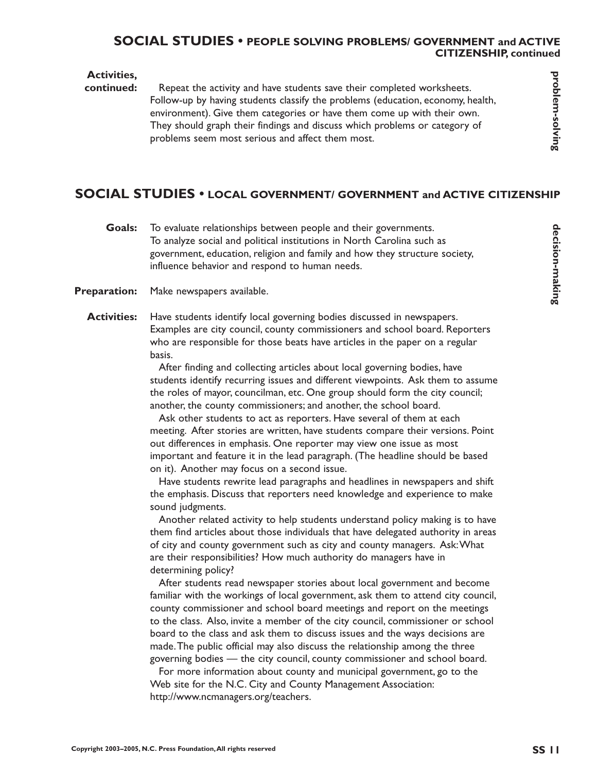#### **SOCIAL STUDIES • PEOPLE SOLVING PROBLEMS/ GOVERNMENT and ACTIVE CITIZENSHIP, continued**

#### **Activities,**

#### Repeat the activity and have students save their completed worksheets. Follow-up by having students classify the problems (education, economy, health, environment). Give them categories or have them come up with their own. They should graph their findings and discuss which problems or category of problems seem most serious and affect them most. **continued:**

## **SOCIAL STUDIES • LOCAL GOVERNMENT/ GOVERNMENT and ACTIVE CITIZENSHIP**

- To evaluate relationships between people and their governments. To analyze social and political institutions in North Carolina such as government, education, religion and family and how they structure society, influence behavior and respond to human needs. **Goals:**
- Make newspapers available. **Preparation:**
	- Have students identify local governing bodies discussed in newspapers. Examples are city council, county commissioners and school board. Reporters who are responsible for those beats have articles in the paper on a regular basis. **Activities:**

After finding and collecting articles about local governing bodies, have students identify recurring issues and different viewpoints. Ask them to assume the roles of mayor, councilman, etc. One group should form the city council; another, the county commissioners; and another, the school board.

Ask other students to act as reporters. Have several of them at each meeting. After stories are written, have students compare their versions. Point out differences in emphasis. One reporter may view one issue as most important and feature it in the lead paragraph. (The headline should be based on it). Another may focus on a second issue.

Have students rewrite lead paragraphs and headlines in newspapers and shift the emphasis. Discuss that reporters need knowledge and experience to make sound judgments.

Another related activity to help students understand policy making is to have them find articles about those individuals that have delegated authority in areas of city and county government such as city and county managers. Ask:What are their responsibilities? How much authority do managers have in determining policy?

After students read newspaper stories about local government and become familiar with the workings of local government, ask them to attend city council, county commissioner and school board meetings and report on the meetings to the class. Also, invite a member of the city council, commissioner or school board to the class and ask them to discuss issues and the ways decisions are made.The public official may also discuss the relationship among the three governing bodies — the city council, county commissioner and school board.

For more information about county and municipal government, go to the Web site for the N.C. City and County Management Association: http://www.ncmanagers.org/teachers.

problem-solving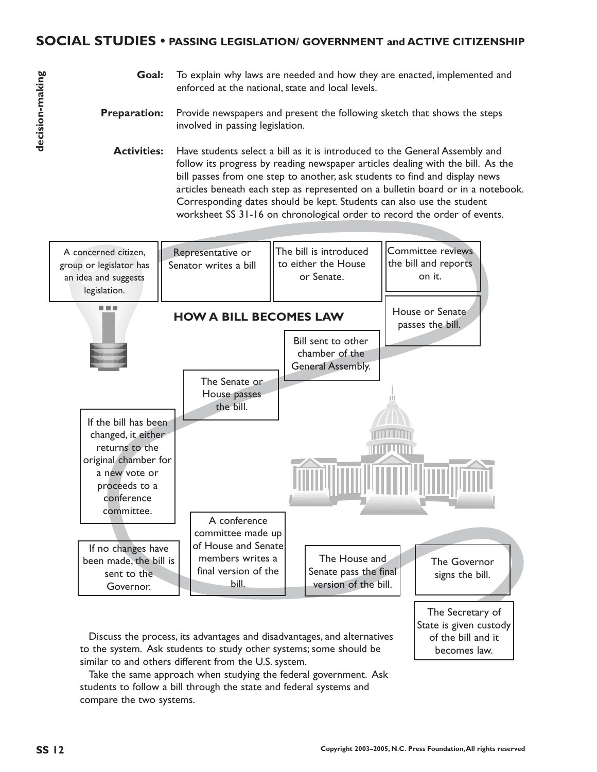### **SOCIAL STUDIES • PASSING LEGISLATION/ GOVERNMENT and ACTIVE CITIZENSHIP**

- To explain why laws are needed and how they are enacted, implemented and enforced at the national, state and local levels. **Goal:**
- Provide newspapers and present the following sketch that shows the steps involved in passing legislation. **Preparation:**
	- Have students select a bill as it is introduced to the General Assembly and follow its progress by reading newspaper articles dealing with the bill. As the bill passes from one step to another, ask students to find and display news articles beneath each step as represented on a bulletin board or in a notebook. Corresponding dates should be kept. Students can also use the student worksheet SS 31-16 on chronological order to record the order of events. **Activities:**



Discuss the process, its advantages and disadvantages, and alternatives to the system. Ask students to study other systems; some should be similar to and others different from the U.S. system.

Take the same approach when studying the federal government. Ask students to follow a bill through the state and federal systems and compare the two systems.

becomes law.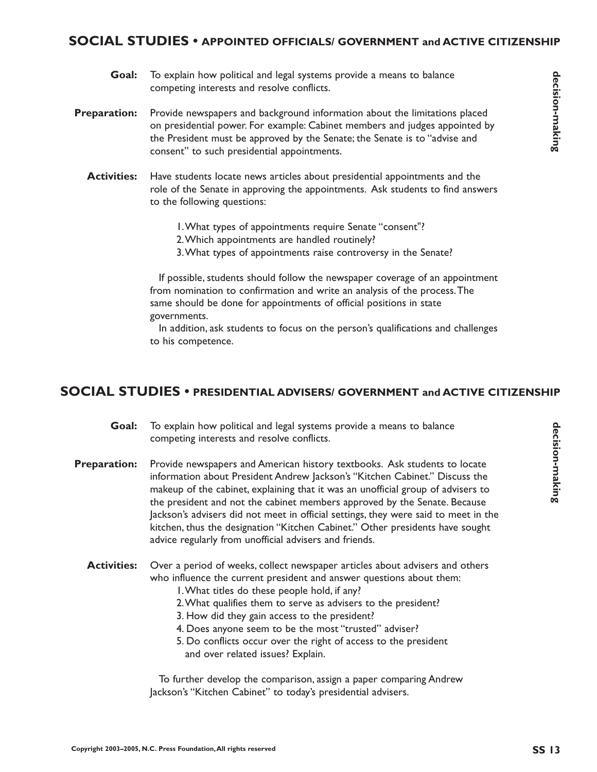### **SOCIAL STUDIES • APPOINTED OFFICIALS/ GOVERNMENT and ACTIVE CITIZENSHIP**

- To explain how political and legal systems provide a means to balance competing interests and resolve conflicts. **Goal:**
- Provide newspapers and background information about the limitations placed on presidential power. For example: Cabinet members and judges appointed by the President must be approved by the Senate; the Senate is to "advise and consent" to such presidential appointments. **Preparation:**
	- Have students locate news articles about presidential appointments and the role of the Senate in approving the appointments. Ask students to find answers to the following questions: **Activities:**
		- 1.What types of appointments require Senate "consent"?
		- 2.Which appointments are handled routinely?
		- 3.What types of appointments raise controversy in the Senate?

If possible, students should follow the newspaper coverage of an appointment from nomination to confirmation and write an analysis of the process.The same should be done for appointments of official positions in state governments.

In addition, ask students to focus on the person's qualifications and challenges to his competence.

# **SOCIAL STUDIES • PRESIDENTIAL ADVISERS/ GOVERNMENT and ACTIVE CITIZENSHIP**

- To explain how political and legal systems provide a means to balance competing interests and resolve conflicts. **Goal:**
- Provide newspapers and American history textbooks. Ask students to locate information about President Andrew Jackson's "Kitchen Cabinet." Discuss the makeup of the cabinet, explaining that it was an unofficial group of advisers to the president and not the cabinet members approved by the Senate. Because Jackson's advisers did not meet in official settings, they were said to meet in the kitchen, thus the designation "Kitchen Cabinet." Other presidents have sought advice regularly from unofficial advisers and friends. **Preparation:**
	- Over a period of weeks, collect newspaper articles about advisers and others who influence the current president and answer questions about them: **Activities:**
		- 1.What titles do these people hold, if any?
		- 2.What qualifies them to serve as advisers to the president?
		- 3. How did they gain access to the president?
		- 4. Does anyone seem to be the most "trusted" adviser?
		- 5. Do conflicts occur over the right of access to the president and over related issues? Explain.

To further develop the comparison, assign a paper comparing Andrew Jackson's "Kitchen Cabinet" to today's presidential advisers.

**decision-making**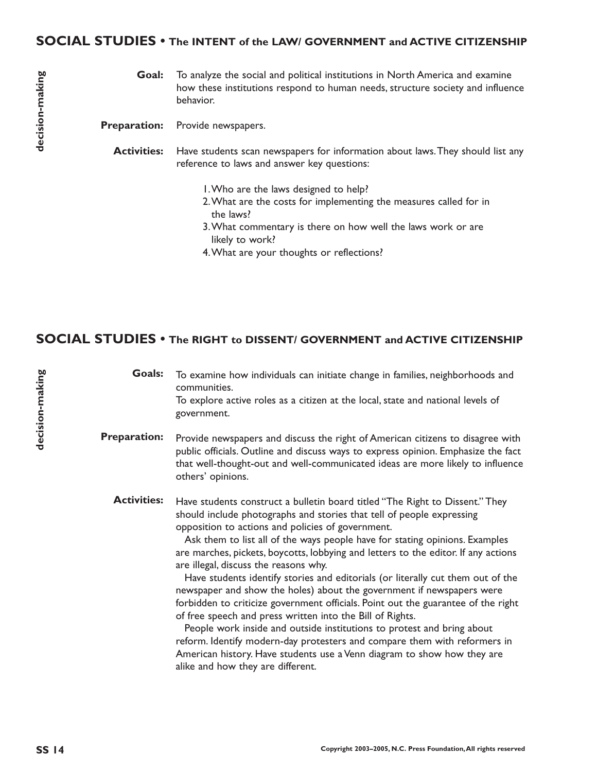#### **SOCIAL STUDIES • The INTENT of the LAW/ GOVERNMENT and ACTIVE CITIZENSHIP**

To analyze the social and political institutions in North America and examine how these institutions respond to human needs, structure society and influence behavior. **Goal:**

Provide newspapers. **Preparation:**

Have students scan newspapers for information about laws.They should list any reference to laws and answer key questions: **Activities:**

- 1.Who are the laws designed to help?
- 2.What are the costs for implementing the measures called for in the laws?
- 3.What commentary is there on how well the laws work or are likely to work?
- 4.What are your thoughts or reflections?

### **SOCIAL STUDIES • The RIGHT to DISSENT/ GOVERNMENT and ACTIVE CITIZENSHIP**

**Goals:** To examine how individuals can initiate change in families, neighborhoods and communities. To explore active roles as a citizen at the local, state and national levels of government.

**Preparation:** Provide newspapers and discuss the right of American citizens to disagree with public officials. Outline and discuss ways to express opinion. Emphasize the fact that well-thought-out and well-communicated ideas are more likely to influence others' opinions.

**Activities:** Have students construct a bulletin board titled "The Right to Dissent." They should include photographs and stories that tell of people expressing opposition to actions and policies of government.

> Ask them to list all of the ways people have for stating opinions. Examples are marches, pickets, boycotts, lobbying and letters to the editor. If any actions are illegal, discuss the reasons why.

> Have students identify stories and editorials (or literally cut them out of the newspaper and show the holes) about the government if newspapers were forbidden to criticize government officials. Point out the guarantee of the right of free speech and press written into the Bill of Rights.

People work inside and outside institutions to protest and bring about reform. Identify modern-day protesters and compare them with reformers in American history. Have students use a Venn diagram to show how they are alike and how they are different.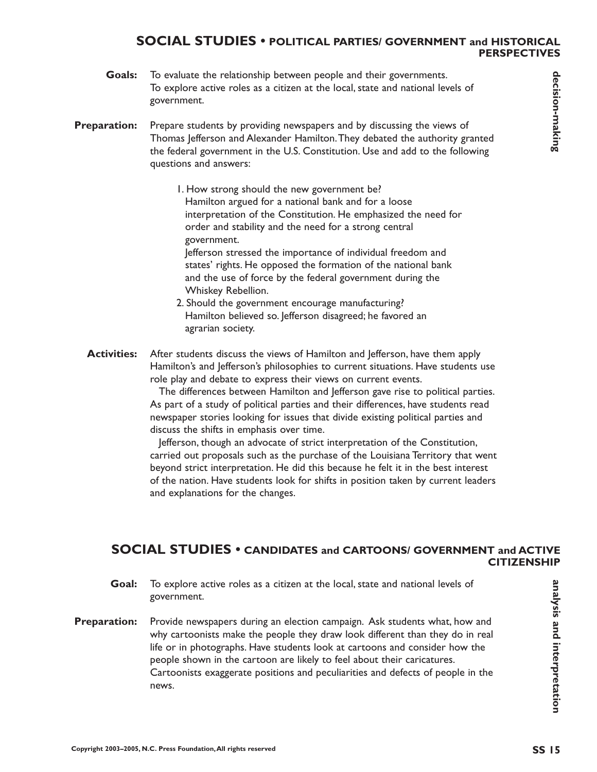#### **SOCIAL STUDIES • POLITICAL PARTIES/ GOVERNMENT and HISTORICAL PERSPECTIVES**

To evaluate the relationship between people and their governments. To explore active roles as a citizen at the local, state and national levels of government. **Goals:**

Prepare students by providing newspapers and by discussing the views of Thomas Jefferson and Alexander Hamilton.They debated the authority granted the federal government in the U.S. Constitution. Use and add to the following questions and answers: **Preparation:**

- 1. How strong should the new government be? Hamilton argued for a national bank and for a loose interpretation of the Constitution. He emphasized the need for order and stability and the need for a strong central government. Jefferson stressed the importance of individual freedom and states' rights. He opposed the formation of the national bank and the use of force by the federal government during the Whiskey Rebellion.
- 2. Should the government encourage manufacturing? Hamilton believed so. Jefferson disagreed; he favored an agrarian society.
- After students discuss the views of Hamilton and Jefferson, have them apply Hamilton's and Jefferson's philosophies to current situations. Have students use role play and debate to express their views on current events. **Activities:**

The differences between Hamilton and Jefferson gave rise to political parties. As part of a study of political parties and their differences, have students read newspaper stories looking for issues that divide existing political parties and discuss the shifts in emphasis over time.

Jefferson, though an advocate of strict interpretation of the Constitution, carried out proposals such as the purchase of the Louisiana Territory that went beyond strict interpretation. He did this because he felt it in the best interest of the nation. Have students look for shifts in position taken by current leaders and explanations for the changes.

## **SOCIAL STUDIES • CANDIDATES and CARTOONS/ GOVERNMENT and ACTIVE CITIZENSHIP**

- To explore active roles as a citizen at the local, state and national levels of government. **Goal:**
- Provide newspapers during an election campaign. Ask students what, how and why cartoonists make the people they draw look different than they do in real life or in photographs. Have students look at cartoons and consider how the people shown in the cartoon are likely to feel about their caricatures. Cartoonists exaggerate positions and peculiarities and defects of people in the news. **Preparation:**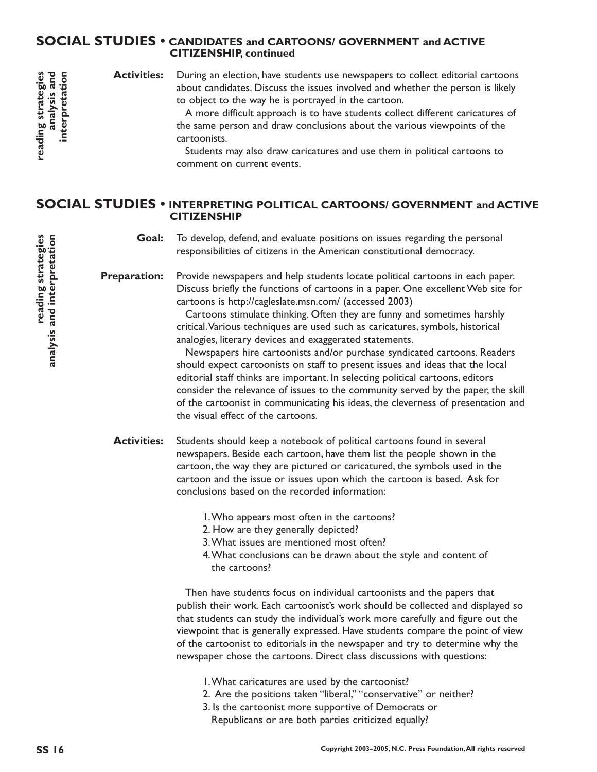#### **SOCIAL STUDIES • CANDIDATES and CARTOONS/ GOVERNMENT and ACTIVE CITIZENSHIP, continued**

During an election, have students use newspapers to collect editorial cartoons about candidates. Discuss the issues involved and whether the person is likely to object to the way he is portrayed in the cartoon. **Activities:**

> A more difficult approach is to have students collect different caricatures of the same person and draw conclusions about the various viewpoints of the cartoonists.

Students may also draw caricatures and use them in political cartoons to comment on current events.

#### **SOCIAL STUDIES • INTERPRETING POLITICAL CARTOONS/ GOVERNMENT and ACTIVE CITIZENSHIP**

To develop, defend, and evaluate positions on issues regarding the personal responsibilities of citizens in the American constitutional democracy. **Goal:**

Provide newspapers and help students locate political cartoons in each paper. Discuss briefly the functions of cartoons in a paper. One excellent Web site for cartoons is http://cagleslate.msn.com/ (accessed 2003) **Preparation:**

> Cartoons stimulate thinking. Often they are funny and sometimes harshly critical.Various techniques are used such as caricatures, symbols, historical analogies, literary devices and exaggerated statements.

Newspapers hire cartoonists and/or purchase syndicated cartoons. Readers should expect cartoonists on staff to present issues and ideas that the local editorial staff thinks are important. In selecting political cartoons, editors consider the relevance of issues to the community served by the paper, the skill of the cartoonist in communicating his ideas, the cleverness of presentation and the visual effect of the cartoons.

Students should keep a notebook of political cartoons found in several newspapers. Beside each cartoon, have them list the people shown in the cartoon, the way they are pictured or caricatured, the symbols used in the cartoon and the issue or issues upon which the cartoon is based. Ask for conclusions based on the recorded information: **Activities:**

- 1.Who appears most often in the cartoons?
- 2. How are they generally depicted?
- 3.What issues are mentioned most often?
- 4.What conclusions can be drawn about the style and content of the cartoons?

Then have students focus on individual cartoonists and the papers that publish their work. Each cartoonist's work should be collected and displayed so that students can study the individual's work more carefully and figure out the viewpoint that is generally expressed. Have students compare the point of view of the cartoonist to editorials in the newspaper and try to determine why the newspaper chose the cartoons. Direct class discussions with questions:

- 1.What caricatures are used by the cartoonist?
- 2. Are the positions taken "liberal," "conservative" or neither?
- 3. Is the cartoonist more supportive of Democrats or Republicans or are both parties criticized equally?

**reading strategies analysis and interpretation**

reading strategies<br>analysis and

interpretation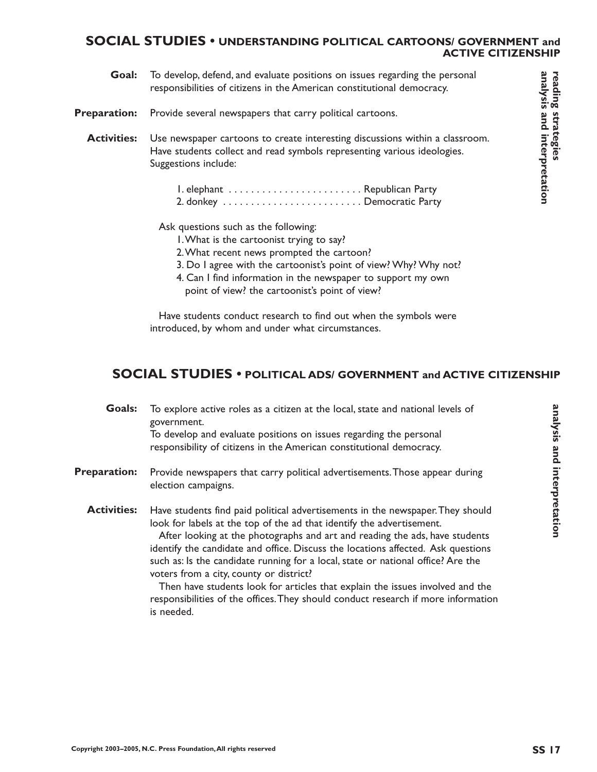#### **SOCIAL STUDIES • UNDERSTANDING POLITICAL CARTOONS/ GOVERNMENT and ACTIVE CITIZENSHIP**

- To develop, defend, and evaluate positions on issues regarding the personal responsibilities of citizens in the American constitutional democracy. **Goal:**
- Provide several newspapers that carry political cartoons. **Preparation:**

Use newspaper cartoons to create interesting discussions within a classroom. Have students collect and read symbols representing various ideologies. Suggestions include: **Activities:**

Ask questions such as the following:

- 1.What is the cartoonist trying to say?
- 2.What recent news prompted the cartoon?
- 3. Do I agree with the cartoonist's point of view? Why? Why not?
- 4. Can I find information in the newspaper to support my own point of view? the cartoonist's point of view?

Have students conduct research to find out when the symbols were introduced, by whom and under what circumstances.

## **SOCIAL STUDIES • POLITICAL ADS/ GOVERNMENT and ACTIVE CITIZENSHIP**

| Goals:              | To explore active roles as a citizen at the local, state and national levels of<br>government.<br>To develop and evaluate positions on issues regarding the personal<br>responsibility of citizens in the American constitutional democracy.                                                                                                                                                                                                                                                                                                                                                                                                  |
|---------------------|-----------------------------------------------------------------------------------------------------------------------------------------------------------------------------------------------------------------------------------------------------------------------------------------------------------------------------------------------------------------------------------------------------------------------------------------------------------------------------------------------------------------------------------------------------------------------------------------------------------------------------------------------|
| <b>Preparation:</b> | Provide newspapers that carry political advertisements. Those appear during<br>election campaigns.                                                                                                                                                                                                                                                                                                                                                                                                                                                                                                                                            |
| <b>Activities:</b>  | Have students find paid political advertisements in the newspaper. They should<br>look for labels at the top of the ad that identify the advertisement.<br>After looking at the photographs and art and reading the ads, have students<br>identify the candidate and office. Discuss the locations affected. Ask questions<br>such as: Is the candidate running for a local, state or national office? Are the<br>voters from a city, county or district?<br>Then have students look for articles that explain the issues involved and the<br>responsibilities of the offices. They should conduct research if more information<br>is needed. |

**analysis and interpretation**

analysis and interpretation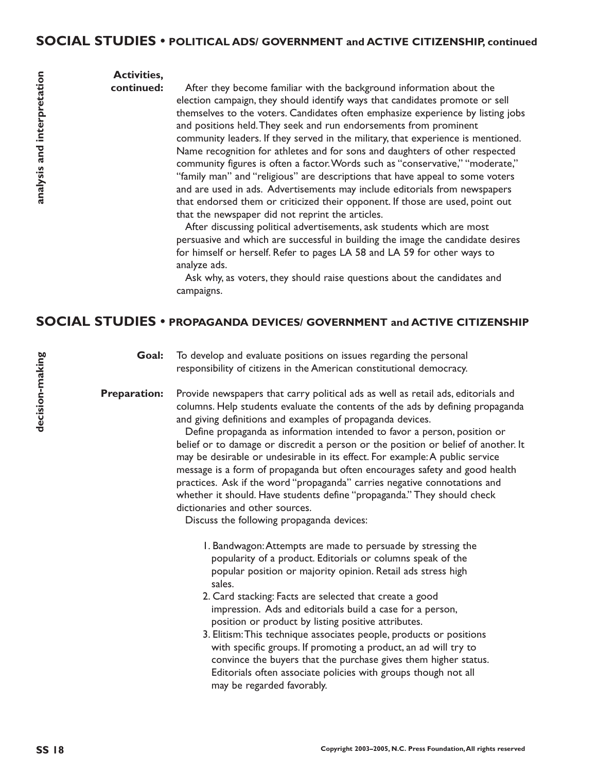#### **Activities, continued:**

After they become familiar with the background information about the election campaign, they should identify ways that candidates promote or sell themselves to the voters. Candidates often emphasize experience by listing jobs and positions held.They seek and run endorsements from prominent community leaders. If they served in the military, that experience is mentioned. Name recognition for athletes and for sons and daughters of other respected community figures is often a factor.Words such as "conservative," "moderate," "family man" and "religious" are descriptions that have appeal to some voters and are used in ads. Advertisements may include editorials from newspapers that endorsed them or criticized their opponent. If those are used, point out that the newspaper did not reprint the articles.

After discussing political advertisements, ask students which are most persuasive and which are successful in building the image the candidate desires for himself or herself. Refer to pages LA 58 and LA 59 for other ways to analyze ads.

Ask why, as voters, they should raise questions about the candidates and campaigns.

## **SOCIAL STUDIES • PROPAGANDA DEVICES/ GOVERNMENT and ACTIVE CITIZENSHIP**

To develop and evaluate positions on issues regarding the personal responsibility of citizens in the American constitutional democracy. **Goal:**

Provide newspapers that carry political ads as well as retail ads, editorials and columns. Help students evaluate the contents of the ads by defining propaganda and giving definitions and examples of propaganda devices. **Preparation:**

> Define propaganda as information intended to favor a person, position or belief or to damage or discredit a person or the position or belief of another. It may be desirable or undesirable in its effect. For example:A public service message is a form of propaganda but often encourages safety and good health practices. Ask if the word "propaganda" carries negative connotations and whether it should. Have students define "propaganda." They should check dictionaries and other sources.

Discuss the following propaganda devices:

- 1. Bandwagon:Attempts are made to persuade by stressing the popularity of a product. Editorials or columns speak of the popular position or majority opinion. Retail ads stress high sales.
- 2. Card stacking: Facts are selected that create a good impression. Ads and editorials build a case for a person, position or product by listing positive attributes.
- 3. Elitism:This technique associates people, products or positions with specific groups. If promoting a product, an ad will try to convince the buyers that the purchase gives them higher status. Editorials often associate policies with groups though not all may be regarded favorably.

analysis and interpretation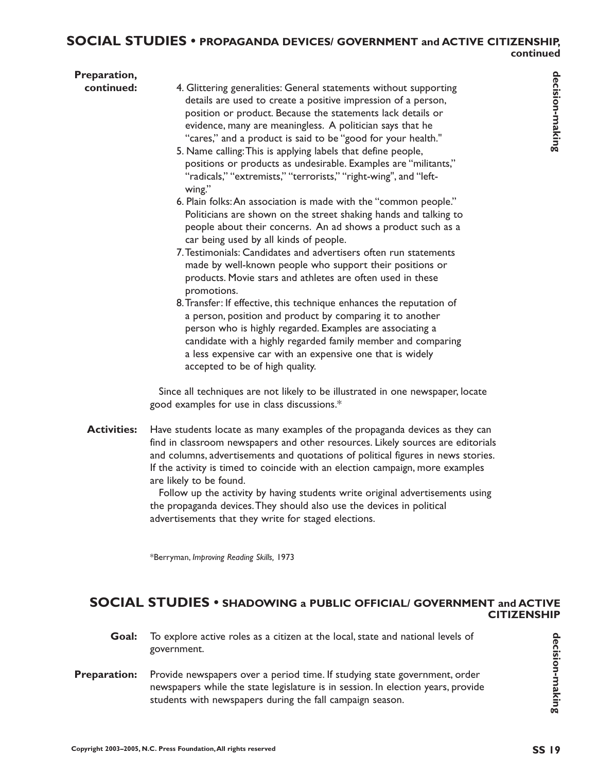| Preparation, |                                                                                                                                                                                                                                                                                                                                                                |
|--------------|----------------------------------------------------------------------------------------------------------------------------------------------------------------------------------------------------------------------------------------------------------------------------------------------------------------------------------------------------------------|
| continued:   | 4. Glittering generalities: General statements without supporting<br>details are used to create a positive impression of a person,<br>position or product. Because the statements lack details or<br>evidence, many are meaningless. A politician says that he<br>"cares," and a product is said to be "good for your health."                                 |
|              | 5. Name calling: This is applying labels that define people,<br>positions or products as undesirable. Examples are "militants,"<br>"radicals," "extremists," "terrorists," "right-wing", and "left-<br>wing."                                                                                                                                                  |
|              | 6. Plain folks: An association is made with the "common people."<br>Politicians are shown on the street shaking hands and talking to<br>people about their concerns. An ad shows a product such as a<br>car being used by all kinds of people.                                                                                                                 |
|              | 7. Testimonials: Candidates and advertisers often run statements<br>made by well-known people who support their positions or<br>products. Movie stars and athletes are often used in these<br>promotions.                                                                                                                                                      |
|              | 8. Transfer: If effective, this technique enhances the reputation of<br>a person, position and product by comparing it to another<br>person who is highly regarded. Examples are associating a<br>candidate with a highly regarded family member and comparing<br>a less expensive car with an expensive one that is widely<br>accepted to be of high quality. |
|              | Since all techniques are not likely to be illustrated in one newspaper, locate<br>good examples for use in class discussions.*                                                                                                                                                                                                                                 |

Have students locate as many examples of the propaganda devices as they can find in classroom newspapers and other resources. Likely sources are editorials and columns, advertisements and quotations of political figures in news stories. If the activity is timed to coincide with an election campaign, more examples are likely to be found. **Activities:**

> Follow up the activity by having students write original advertisements using the propaganda devices.They should also use the devices in political advertisements that they write for staged elections.

\*Berryman, *Improving Reading Skills,* 1973

#### **SOCIAL STUDIES • SHADOWING a PUBLIC OFFICIAL/ GOVERNMENT and ACTIVE CITIZENSHIP**

- To explore active roles as a citizen at the local, state and national levels of government. **Goal:**
- Provide newspapers over a period time. If studying state government, order newspapers while the state legislature is in session. In election years, provide students with newspapers during the fall campaign season. **Preparation:**

**decision-making**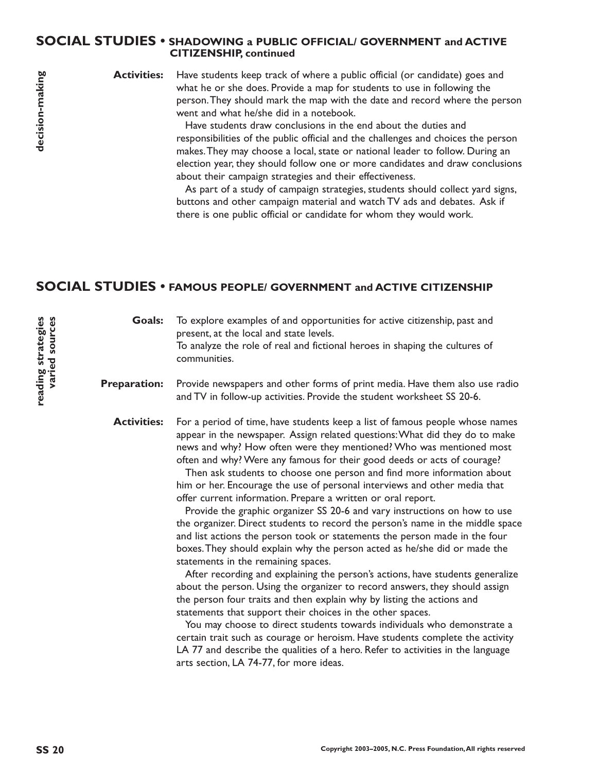#### **SOCIAL STUDIES • SHADOWING a PUBLIC OFFICIAL/ GOVERNMENT and ACTIVE CITIZENSHIP, continued**

**Activities:**

Have students keep track of where a public official (or candidate) goes and what he or she does. Provide a map for students to use in following the person.They should mark the map with the date and record where the person went and what he/she did in a notebook.

Have students draw conclusions in the end about the duties and responsibilities of the public official and the challenges and choices the person makes.They may choose a local, state or national leader to follow. During an election year, they should follow one or more candidates and draw conclusions about their campaign strategies and their effectiveness.

As part of a study of campaign strategies, students should collect yard signs, buttons and other campaign material and watch TV ads and debates. Ask if there is one public official or candidate for whom they would work.

## **SOCIAL STUDIES • FAMOUS PEOPLE/ GOVERNMENT and ACTIVE CITIZENSHIP**

To explore examples of and opportunities for active citizenship, past and present, at the local and state levels. To analyze the role of real and fictional heroes in shaping the cultures of communities. **Goals:**

Provide newspapers and other forms of print media. Have them also use radio and TV in follow-up activities. Provide the student worksheet SS 20-6. **Preparation:**

For a period of time, have students keep a list of famous people whose names appear in the newspaper. Assign related questions:What did they do to make news and why? How often were they mentioned? Who was mentioned most often and why? Were any famous for their good deeds or acts of courage? **Activities:**

> Then ask students to choose one person and find more information about him or her. Encourage the use of personal interviews and other media that offer current information. Prepare a written or oral report.

Provide the graphic organizer SS 20-6 and vary instructions on how to use the organizer. Direct students to record the person's name in the middle space and list actions the person took or statements the person made in the four boxes.They should explain why the person acted as he/she did or made the statements in the remaining spaces.

After recording and explaining the person's actions, have students generalize about the person. Using the organizer to record answers, they should assign the person four traits and then explain why by listing the actions and statements that support their choices in the other spaces.

You may choose to direct students towards individuals who demonstrate a certain trait such as courage or heroism. Have students complete the activity LA 77 and describe the qualities of a hero. Refer to activities in the language arts section, LA 74-77, for more ideas.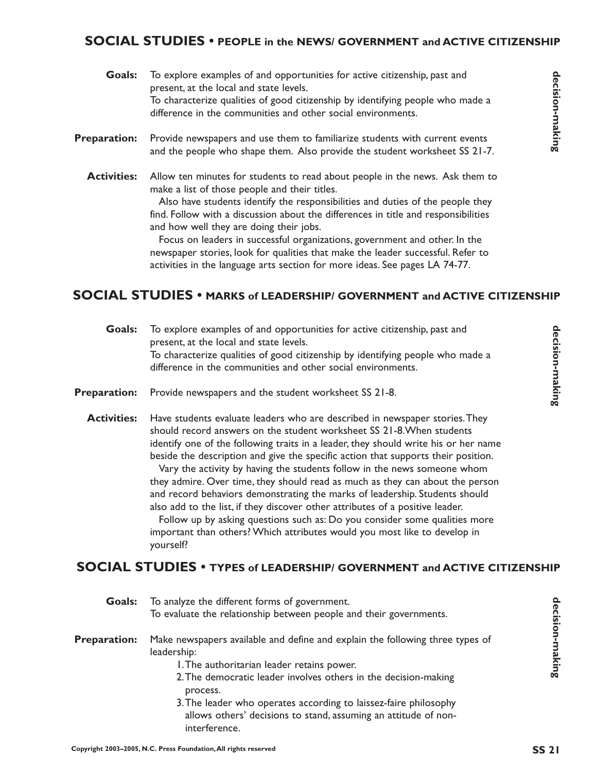## **SOCIAL STUDIES • PEOPLE in the NEWS/ GOVERNMENT and ACTIVE CITIZENSHIP**

| Goals:              | To explore examples of and opportunities for active citizenship, past and<br>present, at the local and state levels.<br>To characterize qualities of good citizenship by identifying people who made a<br>difference in the communities and other social environments.                                                                                                                                                                                                                                            |
|---------------------|-------------------------------------------------------------------------------------------------------------------------------------------------------------------------------------------------------------------------------------------------------------------------------------------------------------------------------------------------------------------------------------------------------------------------------------------------------------------------------------------------------------------|
| <b>Preparation:</b> | Provide newspapers and use them to familiarize students with current events<br>and the people who shape them. Also provide the student worksheet SS 21-7.                                                                                                                                                                                                                                                                                                                                                         |
| <b>Activities:</b>  | Allow ten minutes for students to read about people in the news. Ask them to<br>make a list of those people and their titles.<br>Also have students identify the responsibilities and duties of the people they<br>find. Follow with a discussion about the differences in title and responsibilities<br>and how well they are doing their jobs.<br>Focus on leaders in successful organizations, government and other. In the<br>newspaper stories, look for qualities that make the leader successful. Refer to |

## **SOCIAL STUDIES • MARKS of LEADERSHIP/ GOVERNMENT and ACTIVE CITIZENSHIP**

| Goals:              | To explore examples of and opportunities for active citizenship, past and<br>present, at the local and state levels.<br>To characterize qualities of good citizenship by identifying people who made a<br>difference in the communities and other social environments.                                                                                                                                                                                                                                                                                                                                                                                                                                                                                                                                                                | decision-making |
|---------------------|---------------------------------------------------------------------------------------------------------------------------------------------------------------------------------------------------------------------------------------------------------------------------------------------------------------------------------------------------------------------------------------------------------------------------------------------------------------------------------------------------------------------------------------------------------------------------------------------------------------------------------------------------------------------------------------------------------------------------------------------------------------------------------------------------------------------------------------|-----------------|
| <b>Preparation:</b> | Provide newspapers and the student worksheet SS 21-8.                                                                                                                                                                                                                                                                                                                                                                                                                                                                                                                                                                                                                                                                                                                                                                                 |                 |
| <b>Activities:</b>  | Have students evaluate leaders who are described in newspaper stories. They<br>should record answers on the student worksheet SS 21-8. When students<br>identify one of the following traits in a leader, they should write his or her name<br>beside the description and give the specific action that supports their position.<br>Vary the activity by having the students follow in the news someone whom<br>they admire. Over time, they should read as much as they can about the person<br>and record behaviors demonstrating the marks of leadership. Students should<br>also add to the list, if they discover other attributes of a positive leader.<br>Follow up by asking questions such as: Do you consider some qualities more<br>important than others? Which attributes would you most like to develop in<br>yourself? |                 |
|                     | <b>SOCIAL STUDIES • TYPES of LEADERSHIP/ GOVERNMENT and ACTIVE CITIZENSHIP</b>                                                                                                                                                                                                                                                                                                                                                                                                                                                                                                                                                                                                                                                                                                                                                        |                 |

| Goals:              | To explore examples of and opportunities for active citizenship, past and<br>present, at the local and state levels.                                                                                                                                                                                                                                                                                                                                                                                                                                                                                                                                                                                                                                                                                                                  |                 |
|---------------------|---------------------------------------------------------------------------------------------------------------------------------------------------------------------------------------------------------------------------------------------------------------------------------------------------------------------------------------------------------------------------------------------------------------------------------------------------------------------------------------------------------------------------------------------------------------------------------------------------------------------------------------------------------------------------------------------------------------------------------------------------------------------------------------------------------------------------------------|-----------------|
|                     | To characterize qualities of good citizenship by identifying people who made a<br>difference in the communities and other social environments.                                                                                                                                                                                                                                                                                                                                                                                                                                                                                                                                                                                                                                                                                        | decision-making |
| <b>Preparation:</b> | Provide newspapers and use them to familiarize students with current events<br>and the people who shape them. Also provide the student worksheet SS 21-7.                                                                                                                                                                                                                                                                                                                                                                                                                                                                                                                                                                                                                                                                             |                 |
| <b>Activities:</b>  | Allow ten minutes for students to read about people in the news. Ask them to<br>make a list of those people and their titles.<br>Also have students identify the responsibilities and duties of the people they<br>find. Follow with a discussion about the differences in title and responsibilities<br>and how well they are doing their jobs.<br>Focus on leaders in successful organizations, government and other. In the<br>newspaper stories, look for qualities that make the leader successful. Refer to<br>activities in the language arts section for more ideas. See pages LA 74-77.<br><b>SOCIAL STUDIES •</b> MARKS of LEADERSHIP/ GOVERNMENT and ACTIVE CITIZENSHIP                                                                                                                                                    |                 |
| Goals:              | To explore examples of and opportunities for active citizenship, past and<br>present, at the local and state levels.<br>To characterize qualities of good citizenship by identifying people who made a<br>difference in the communities and other social environments.                                                                                                                                                                                                                                                                                                                                                                                                                                                                                                                                                                | decision-making |
| <b>Preparation:</b> | Provide newspapers and the student worksheet SS 21-8.                                                                                                                                                                                                                                                                                                                                                                                                                                                                                                                                                                                                                                                                                                                                                                                 |                 |
| <b>Activities:</b>  | Have students evaluate leaders who are described in newspaper stories. They<br>should record answers on the student worksheet SS 21-8. When students<br>identify one of the following traits in a leader, they should write his or her name<br>beside the description and give the specific action that supports their position.<br>Vary the activity by having the students follow in the news someone whom<br>they admire. Over time, they should read as much as they can about the person<br>and record behaviors demonstrating the marks of leadership. Students should<br>also add to the list, if they discover other attributes of a positive leader.<br>Follow up by asking questions such as: Do you consider some qualities more<br>important than others? Which attributes would you most like to develop in<br>yourself? |                 |
|                     | <b>SOCIAL STUDIES • TYPES of LEADERSHIP/ GOVERNMENT and ACTIVE CITIZENSHIP</b>                                                                                                                                                                                                                                                                                                                                                                                                                                                                                                                                                                                                                                                                                                                                                        |                 |
| <b>Goals:</b>       | To analyze the different forms of government.<br>To evaluate the relationship between people and their governments.                                                                                                                                                                                                                                                                                                                                                                                                                                                                                                                                                                                                                                                                                                                   |                 |
| <b>Preparation:</b> | Make newspapers available and define and explain the following three types of<br>leadership:<br>I. The authoritarian leader retains power.<br>2. The democratic leader involves others in the decision-making<br>process.<br>3. The leader who operates according to laissez-faire philosophy<br>allows others' decisions to stand, assuming an attitude of non-<br>interference.                                                                                                                                                                                                                                                                                                                                                                                                                                                     | decision-making |
|                     | Copyright 2003-2005, N.C. Press Foundation, All rights reserved                                                                                                                                                                                                                                                                                                                                                                                                                                                                                                                                                                                                                                                                                                                                                                       | <b>SS 21</b>    |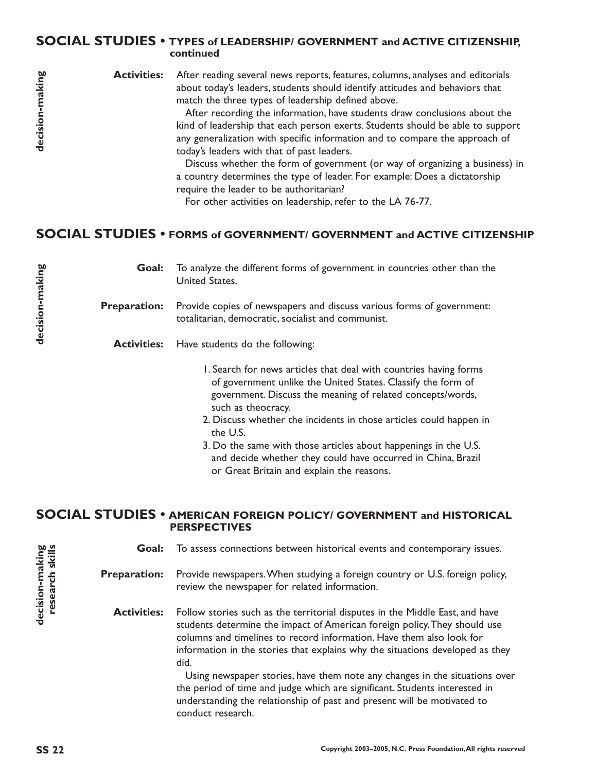#### **SOCIAL STUDIES • TYPES of LEADERSHIP/ GOVERNMENT and ACTIVE CITIZENSHIP, continued**

decision-making

After reading several news reports, features, columns, analyses and editorials about today's leaders, students should identify attitudes and behaviors that match the three types of leadership defined above. **Activities:**

After recording the information, have students draw conclusions about the kind of leadership that each person exerts. Students should be able to support any generalization with specific information and to compare the approach of today's leaders with that of past leaders.

Discuss whether the form of government (or way of organizing a business) in a country determines the type of leader. For example: Does a dictatorship require the leader to be authoritarian?

For other activities on leadership, refer to the LA 76-77.

# **SOCIAL STUDIES • FORMS of GOVERNMENT/ GOVERNMENT and ACTIVE CITIZENSHIP**

To analyze the different forms of government in countries other than the United States. Provide copies of newspapers and discuss various forms of government: totalitarian, democratic, socialist and communist. Activities: Have students do the following: 1. Search for news articles that deal with countries having forms of government unlike the United States. Classify the form of **Goal: Preparation:**

- government. Discuss the meaning of related concepts/words, such as theocracy.
- 2. Discuss whether the incidents in those articles could happen in the U.S.
- 3. Do the same with those articles about happenings in the U.S. and decide whether they could have occurred in China, Brazil or Great Britain and explain the reasons.

#### **SOCIAL STUDIES • AMERICAN FOREIGN POLICY/ GOVERNMENT and HISTORICAL PERSPECTIVES**

To assess connections between historical events and contemporary issues. **Goal:**

#### Provide newspapers.When studying a foreign country or U.S. foreign policy, review the newspaper for related information. **Preparation:**

Follow stories such as the territorial disputes in the Middle East, and have students determine the impact of American foreign policy.They should use columns and timelines to record information. Have them also look for information in the stories that explains why the situations developed as they did. **Activities:**

Using newspaper stories, have them note any changes in the situations over the period of time and judge which are significant. Students interested in understanding the relationship of past and present will be motivated to conduct research.

**SS 22** decision-making 60<br>Presearch skills 0<br>Conserch skills 0 decision-making<br>research skills **decision-making research skills**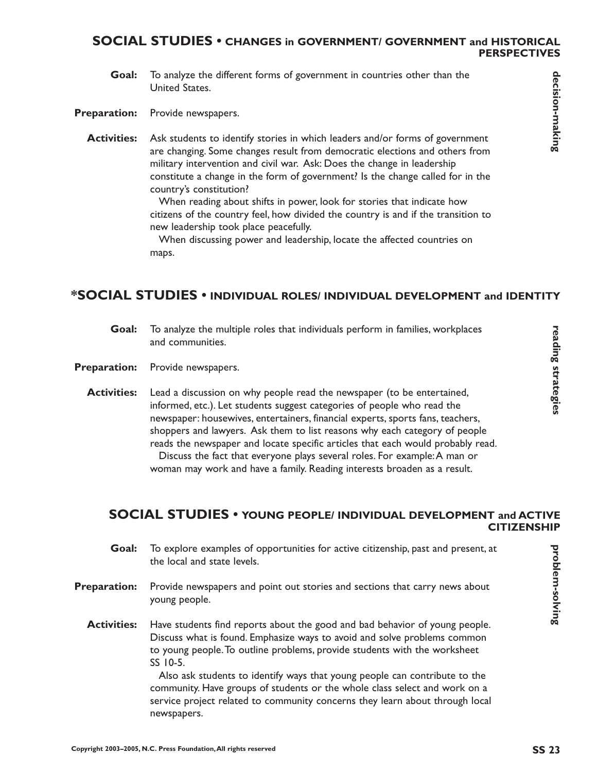#### **SOCIAL STUDIES • CHANGES in GOVERNMENT/ GOVERNMENT and HISTORICAL PERSPECTIVES**

To analyze the different forms of government in countries other than the United States. **Goal:**

Provide newspapers. **Preparation:**

Ask students to identify stories in which leaders and/or forms of government are changing. Some changes result from democratic elections and others from military intervention and civil war. Ask: Does the change in leadership constitute a change in the form of government? Is the change called for in the country's constitution? **Activities:**

> When reading about shifts in power, look for stories that indicate how citizens of the country feel, how divided the country is and if the transition to new leadership took place peacefully.

When discussing power and leadership, locate the affected countries on maps.

## **\*SOCIAL STUDIES • INDIVIDUAL ROLES/ INDIVIDUAL DEVELOPMENT and IDENTITY**

- To analyze the multiple roles that individuals perform in families, workplaces and communities. **Goal:**
- Provide newspapers. **Preparation:**
	- Lead a discussion on why people read the newspaper (to be entertained, informed, etc.). Let students suggest categories of people who read the newspaper: housewives, entertainers, financial experts, sports fans, teachers, shoppers and lawyers. Ask them to list reasons why each category of people reads the newspaper and locate specific articles that each would probably read. Discuss the fact that everyone plays several roles. For example:A man or woman may work and have a family. Reading interests broaden as a result. **Activities:**

#### **SOCIAL STUDIES • YOUNG PEOPLE/ INDIVIDUAL DEVELOPMENT and ACTIVE CITIZENSHIP**

- To explore examples of opportunities for active citizenship, past and present, at the local and state levels. **Goal:**
- Provide newspapers and point out stories and sections that carry news about young people. **Preparation:**
	- Have students find reports about the good and bad behavior of young people. Discuss what is found. Emphasize ways to avoid and solve problems common to young people.To outline problems, provide students with the worksheet SS 10-5. **Activities:**

Also ask students to identify ways that young people can contribute to the community. Have groups of students or the whole class select and work on a service project related to community concerns they learn about through local newspapers.

**problem-solving**

problem-solving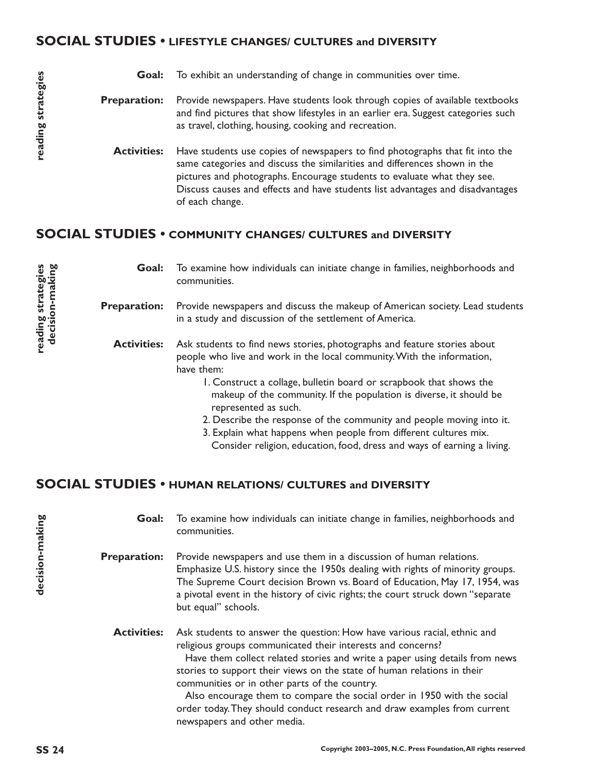### **SOCIAL STUDIES • LIFESTYLE CHANGES/ CULTURES and DIVERSITY**

| Goal:               | To exhibit an understanding of change in communities over time.                                                                                                                                                                                                                                                                           |
|---------------------|-------------------------------------------------------------------------------------------------------------------------------------------------------------------------------------------------------------------------------------------------------------------------------------------------------------------------------------------|
| <b>Preparation:</b> | Provide newspapers. Have students look through copies of available textbooks<br>and find pictures that show lifestyles in an earlier era. Suggest categories such<br>as travel, clothing, housing, cooking and recreation.                                                                                                                |
| <b>Activities:</b>  | Have students use copies of newspapers to find photographs that fit into the<br>same categories and discuss the similarities and differences shown in the<br>pictures and photographs. Encourage students to evaluate what they see.<br>Discuss causes and effects and have students list advantages and disadvantages<br>of each change. |

## **SOCIAL STUDIES • COMMUNITY CHANGES/ CULTURES and DIVERSITY**

| Goal:               | To examine how individuals can initiate change in families, neighborhoods and<br>communities.                                                                     |
|---------------------|-------------------------------------------------------------------------------------------------------------------------------------------------------------------|
| <b>Preparation:</b> | Provide newspapers and discuss the makeup of American society. Lead students<br>in a study and discussion of the settlement of America.                           |
| <b>Activities:</b>  | Ask students to find news stories, photographs and feature stories about<br>people who live and work in the local community. With the information,<br>have them:  |
|                     | I. Construct a collage, bulletin board or scrapbook that shows the<br>makeup of the community. If the population is diverse, it should be<br>represented as such. |
|                     | 2. Describe the response of the community and people moving into it.<br>3. Explain what happens when people from different cultures mix.                          |

Consider religion, education, food, dress and ways of earning a living.

## **SOCIAL STUDIES • HUMAN RELATIONS/ CULTURES and DIVERSITY**

To examine how individuals can initiate change in families, neighborhoods and communities. **Goal:**

Provide newspapers and use them in a discussion of human relations. Emphasize U.S. history since the 1950s dealing with rights of minority groups. The Supreme Court decision Brown vs. Board of Education, May 17, 1954, was a pivotal event in the history of civic rights; the court struck down "separate but equal" schools. **Preparation:**

Ask students to answer the question: How have various racial, ethnic and religious groups communicated their interests and concerns? **Activities:**

Have them collect related stories and write a paper using details from news stories to support their views on the state of human relations in their communities or in other parts of the country.

Also encourage them to compare the social order in 1950 with the social order today.They should conduct research and draw examples from current newspapers and other media.

**decision-making**

decision-making

**decision-making**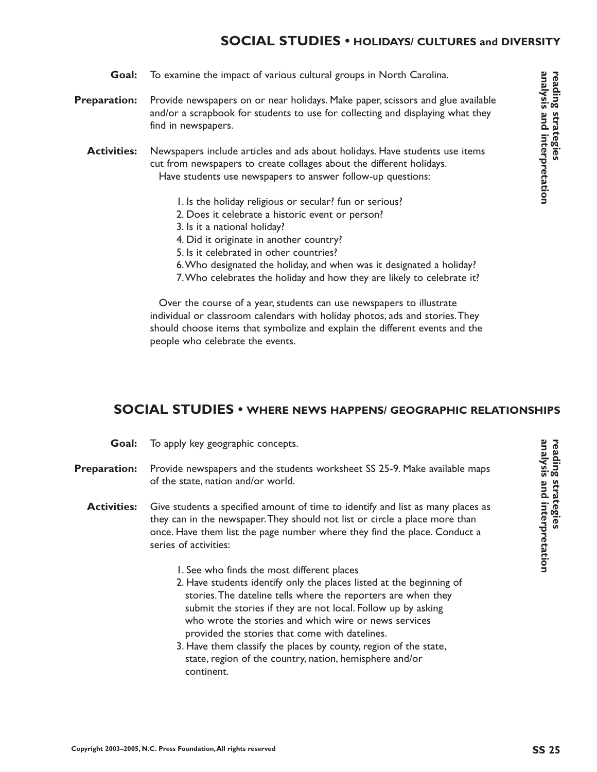## **SOCIAL STUDIES • HOLIDAYS/ CULTURES and DIVERSITY**

- Provide newspapers on or near holidays. Make paper, scissors and glue available and/or a scrapbook for students to use for collecting and displaying what they find in newspapers. **Preparation:**
	- Newspapers include articles and ads about holidays. Have students use items cut from newspapers to create collages about the different holidays. Have students use newspapers to answer follow-up questions: **Activities:**
		- 1. Is the holiday religious or secular? fun or serious?
		- 2. Does it celebrate a historic event or person?
		- 3. Is it a national holiday?

**Goal:**

- 4. Did it originate in another country?
- 5. Is it celebrated in other countries?
- 6.Who designated the holiday, and when was it designated a holiday?
- 7.Who celebrates the holiday and how they are likely to celebrate it?

Over the course of a year, students can use newspapers to illustrate individual or classroom calendars with holiday photos, ads and stories.They should choose items that symbolize and explain the different events and the people who celebrate the events.

## **SOCIAL STUDIES • WHERE NEWS HAPPENS/ GEOGRAPHIC RELATIONSHIPS**

- To apply key geographic concepts. **Goal:**
- Provide newspapers and the students worksheet SS 25-9. Make available maps of the state, nation and/or world. **Preparation:**
	- Give students a specified amount of time to identify and list as many places as they can in the newspaper.They should not list or circle a place more than once. Have them list the page number where they find the place. Conduct a series of activities: **Activities:**
		- 1. See who finds the most different places
		- 2. Have students identify only the places listed at the beginning of stories.The dateline tells where the reporters are when they submit the stories if they are not local. Follow up by asking who wrote the stories and which wire or news services provided the stories that come with datelines.
		- 3. Have them classify the places by county, region of the state, state, region of the country, nation, hemisphere and/or continent.

analysis and interpretation **analysis and interpretation** reading strategies **reading strategies**

**reading strategies**

reading strategies

**analysis and interpretation**

analysis and interpretation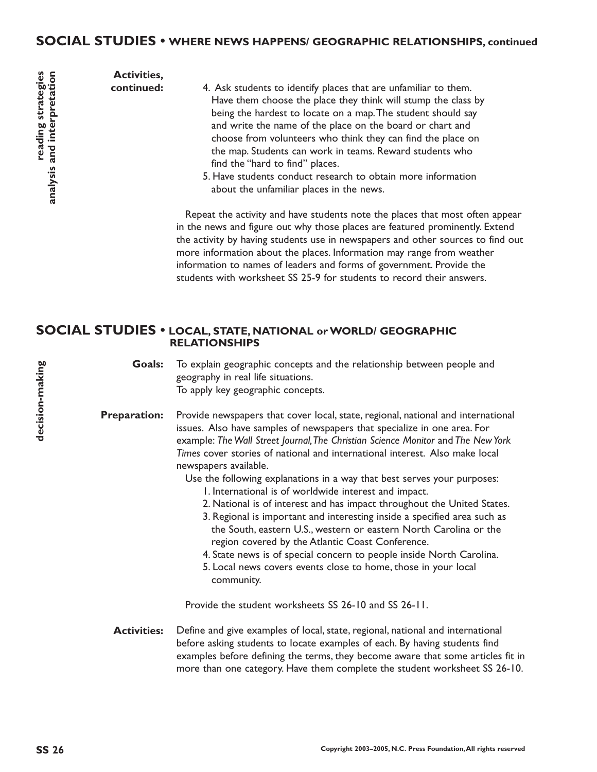**Activities, continued:**

- 4. Ask students to identify places that are unfamiliar to them. Have them choose the place they think will stump the class by being the hardest to locate on a map.The student should say and write the name of the place on the board or chart and choose from volunteers who think they can find the place on the map. Students can work in teams. Reward students who find the "hard to find" places.
- 5. Have students conduct research to obtain more information about the unfamiliar places in the news.

Repeat the activity and have students note the places that most often appear in the news and figure out why those places are featured prominently. Extend the activity by having students use in newspapers and other sources to find out more information about the places. Information may range from weather information to names of leaders and forms of government. Provide the students with worksheet SS 25-9 for students to record their answers.

#### **SOCIAL STUDIES • LOCAL, STATE, NATIONAL or WORLD/ GEOGRAPHIC RELATIONSHIPS**

To explain geographic concepts and the relationship between people and geography in real life situations. To apply key geographic concepts. **Goals:**

Provide newspapers that cover local, state, regional, national and international issues. Also have samples of newspapers that specialize in one area. For example: *The Wall Street Journal,The Christian Science Monitor* and *The New York Times* cover stories of national and international interest. Also make local newspapers available. **Preparation:**

Use the following explanations in a way that best serves your purposes:

- 1. International is of worldwide interest and impact.
- 2. National is of interest and has impact throughout the United States.
- 3. Regional is important and interesting inside a specified area such as the South, eastern U.S., western or eastern North Carolina or the region covered by the Atlantic Coast Conference.
- 4. State news is of special concern to people inside North Carolina.
- 5. Local news covers events close to home, those in your local community.

Provide the student worksheets SS 26-10 and SS 26-11.

Define and give examples of local, state, regional, national and international before asking students to locate examples of each. By having students find examples before defining the terms, they become aware that some articles fit in more than one category. Have them complete the student worksheet SS 26-10. **Activities:**

**reading strategies**

**analysis and interpretation**

reading strategies<br>analysis and interpretation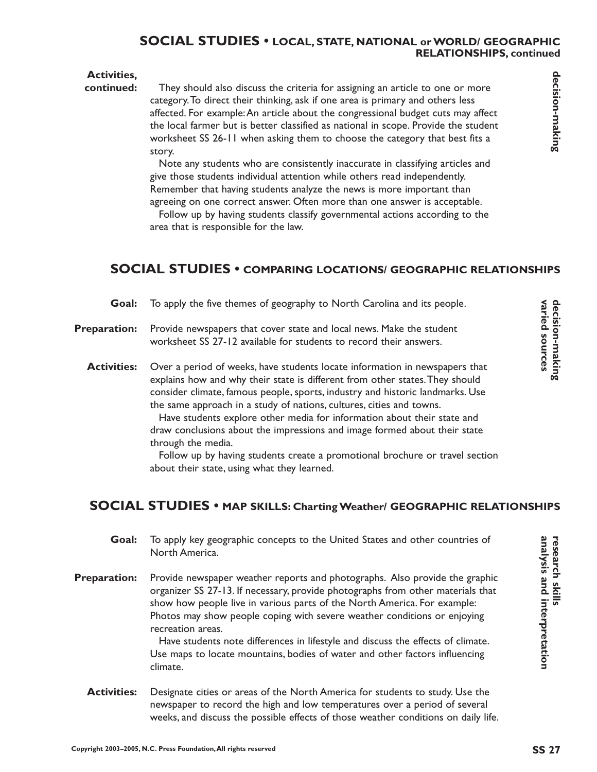#### **SOCIAL STUDIES • LOCAL, STATE, NATIONAL or WORLD/ GEOGRAPHIC RELATIONSHIPS, continued**

#### **Activities,**

#### They should also discuss the criteria for assigning an article to one or more category.To direct their thinking, ask if one area is primary and others less affected. For example:An article about the congressional budget cuts may affect the local farmer but is better classified as national in scope. Provide the student worksheet SS 26-11 when asking them to choose the category that best fits a story. **continued:**

Note any students who are consistently inaccurate in classifying articles and give those students individual attention while others read independently. Remember that having students analyze the news is more important than agreeing on one correct answer. Often more than one answer is acceptable.

Follow up by having students classify governmental actions according to the area that is responsible for the law.

## **SOCIAL STUDIES • COMPARING LOCATIONS/ GEOGRAPHIC RELATIONSHIPS**

| Goal:               | To apply the five themes of geography to North Carolina and its people.                                                                                                                                                                                                                                                                                                                                                                                                                                                                                                                                                           |                                   |
|---------------------|-----------------------------------------------------------------------------------------------------------------------------------------------------------------------------------------------------------------------------------------------------------------------------------------------------------------------------------------------------------------------------------------------------------------------------------------------------------------------------------------------------------------------------------------------------------------------------------------------------------------------------------|-----------------------------------|
| <b>Preparation:</b> | Provide newspapers that cover state and local news. Make the student<br>worksheet SS 27-12 available for students to record their answers.                                                                                                                                                                                                                                                                                                                                                                                                                                                                                        | decision-making<br>varied sources |
| <b>Activities:</b>  | Over a period of weeks, have students locate information in newspapers that<br>explains how and why their state is different from other states. They should<br>consider climate, famous people, sports, industry and historic landmarks. Use<br>the same approach in a study of nations, cultures, cities and towns.<br>Have students explore other media for information about their state and<br>draw conclusions about the impressions and image formed about their state<br>through the media.<br>Follow up by having students create a promotional brochure or travel section<br>about their state, using what they learned. |                                   |
|                     | <b>SOCIAL STUDIES • MAP SKILLS: Charting Weather/ GEOGRAPHIC RELATIONSHIPS</b>                                                                                                                                                                                                                                                                                                                                                                                                                                                                                                                                                    |                                   |

- To apply key geographic concepts to the United States and other countries of North America. **Goal:**
- Provide newspaper weather reports and photographs. Also provide the graphic organizer SS 27-13. If necessary, provide photographs from other materials that show how people live in various parts of the North America. For example: Photos may show people coping with severe weather conditions or enjoying recreation areas. **Preparation:**

Have students note differences in lifestyle and discuss the effects of climate. Use maps to locate mountains, bodies of water and other factors influencing climate.

Designate cities or areas of the North America for students to study. Use the newspaper to record the high and low temperatures over a period of several weeks, and discuss the possible effects of those weather conditions on daily life. **Activities:**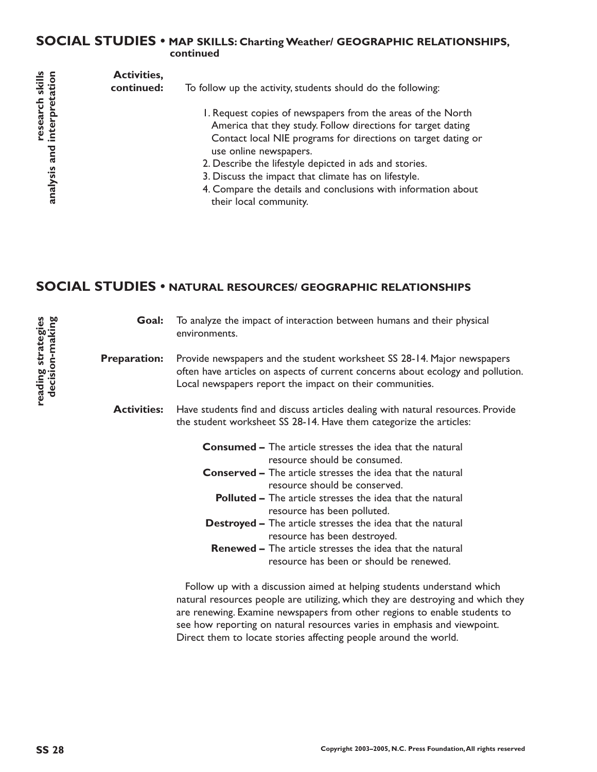## **SOCIAL STUDIES • MAP SKILLS: Charting Weather/ GEOGRAPHIC RELATIONSHIPS, continued**

| l axilius<br>tation                               | <b>Activities,</b><br>continued: | To follow up the activity, students should do the following:                                                                                                                                                                                                                                                                                                                                                                        |
|---------------------------------------------------|----------------------------------|-------------------------------------------------------------------------------------------------------------------------------------------------------------------------------------------------------------------------------------------------------------------------------------------------------------------------------------------------------------------------------------------------------------------------------------|
| 5 T<br>' <sup>Lescar</sup><br>interpr<br>analysis |                                  | I. Request copies of newspapers from the areas of the North<br>America that they study. Follow directions for target dating<br>Contact local NIE programs for directions on target dating or<br>use online newspapers.<br>2. Describe the lifestyle depicted in ads and stories.<br>3. Discuss the impact that climate has on lifestyle.<br>4. Compare the details and conclusions with information about<br>their local community. |

# **SOCIAL STUDIES • NATURAL RESOURCES/ GEOGRAPHIC RELATIONSHIPS**

| Goal:               | To analyze the impact of interaction between humans and their physical<br>environments.                                                                                                                                |  |
|---------------------|------------------------------------------------------------------------------------------------------------------------------------------------------------------------------------------------------------------------|--|
| <b>Preparation:</b> | Provide newspapers and the student worksheet SS 28-14. Major newspapers<br>often have articles on aspects of current concerns about ecology and pollution.<br>Local newspapers report the impact on their communities. |  |
| <b>Activities:</b>  | Have students find and discuss articles dealing with natural resources. Provide<br>the student worksheet SS 28-14. Have them categorize the articles:                                                                  |  |
|                     | <b>Consumed –</b> The article stresses the idea that the natural<br>resource should be consumed.                                                                                                                       |  |
|                     | <b>Conserved –</b> The article stresses the idea that the natural<br>resource should be conserved.                                                                                                                     |  |
|                     | <b>Polluted –</b> The article stresses the idea that the natural<br>resource has been polluted.                                                                                                                        |  |
|                     | <b>Destroyed - The article stresses the idea that the natural</b><br>resource has been destroyed.                                                                                                                      |  |
|                     | <b>Renewed – The article stresses the idea that the natural</b><br>resource has been or should be renewed.                                                                                                             |  |
|                     | Follow up with a discussion aimed at helping students understand which                                                                                                                                                 |  |

Follow up with a discussion aimed at helping students understand which natural resources people are utilizing, which they are destroying and which they are renewing. Examine newspapers from other regions to enable students to see how reporting on natural resources varies in emphasis and viewpoint. Direct them to locate stories affecting people around the world.

**reading strategies decision-making**

reading strategies<br>decision-making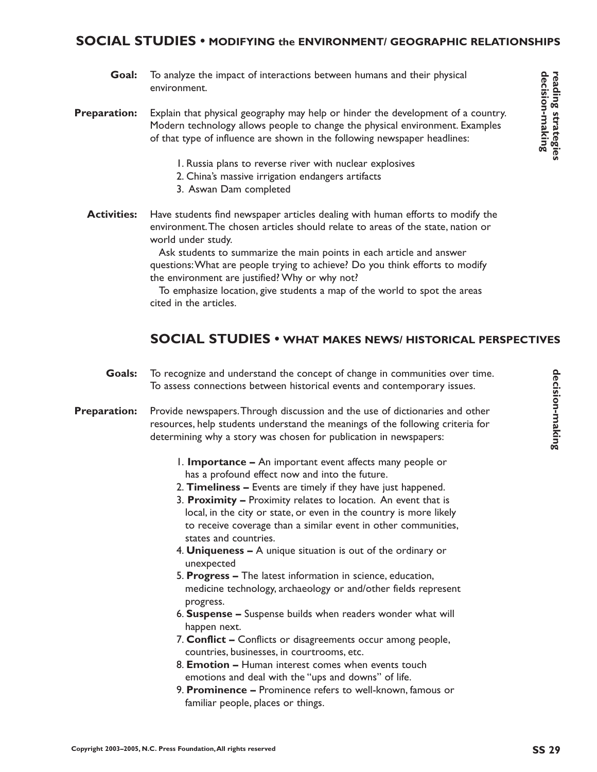## **SOCIAL STUDIES • MODIFYING the ENVIRONMENT/ GEOGRAPHIC RELATIONSHIPS**

- To analyze the impact of interactions between humans and their physical environment. **Goal:**
- Explain that physical geography may help or hinder the development of a country. Modern technology allows people to change the physical environment. Examples of that type of influence are shown in the following newspaper headlines: **Preparation:**
	- 1. Russia plans to reverse river with nuclear explosives
	- 2. China's massive irrigation endangers artifacts
	- 3. Aswan Dam completed
	- Have students find newspaper articles dealing with human efforts to modify the environment.The chosen articles should relate to areas of the state, nation or world under study. **Activities:**

Ask students to summarize the main points in each article and answer questions:What are people trying to achieve? Do you think efforts to modify the environment are justified? Why or why not?

To emphasize location, give students a map of the world to spot the areas cited in the articles.

## **SOCIAL STUDIES • WHAT MAKES NEWS/ HISTORICAL PERSPECTIVES**

- To recognize and understand the concept of change in communities over time. To assess connections between historical events and contemporary issues. **Goals:**
- Provide newspapers.Through discussion and the use of dictionaries and other resources, help students understand the meanings of the following criteria for determining why a story was chosen for publication in newspapers: **Preparation:**
	- 1. **Importance** An important event affects many people or has a profound effect now and into the future.
	- 2. **Timeliness** Events are timely if they have just happened.
	- 3. **Proximity** Proximity relates to location. An event that is local, in the city or state, or even in the country is more likely to receive coverage than a similar event in other communities, states and countries.
	- 4. **Uniqueness** A unique situation is out of the ordinary or unexpected
	- 5. **Progress** The latest information in science, education, medicine technology, archaeology or and/other fields represent progress.
	- 6. **Suspense** Suspense builds when readers wonder what will happen next.
	- 7. **Conflict** Conflicts or disagreements occur among people, countries, businesses, in courtrooms, etc.
	- 8. **Emotion** Human interest comes when events touch emotions and deal with the "ups and downs" of life.
	- 9. **Prominence** Prominence refers to well-known, famous or familiar people, places or things.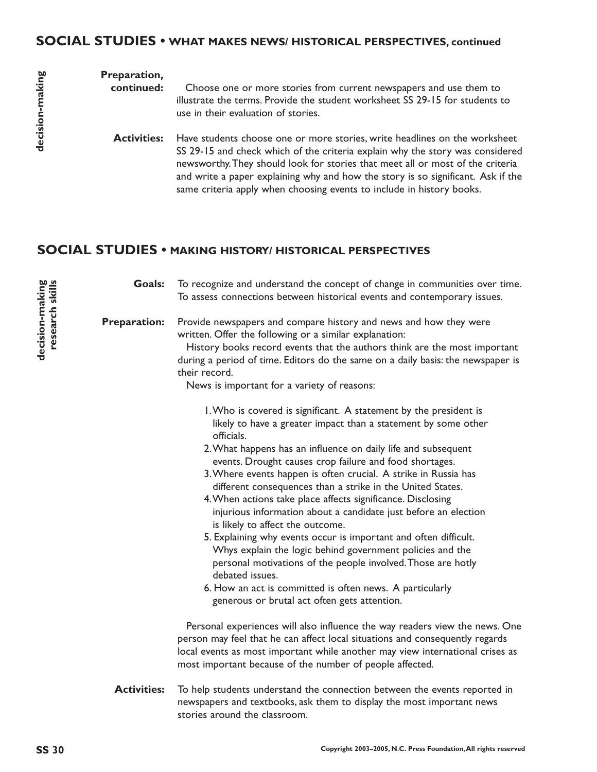# **SOCIAL STUDIES • WHAT MAKES NEWS/ HISTORICAL PERSPECTIVES, continued**

| Preparation,<br>continued: | Choose one or more stories from current newspapers and use them to<br>illustrate the terms. Provide the student worksheet SS 29-15 for students to<br>use in their evaluation of stories.                                                                                                                                                                                                                  |
|----------------------------|------------------------------------------------------------------------------------------------------------------------------------------------------------------------------------------------------------------------------------------------------------------------------------------------------------------------------------------------------------------------------------------------------------|
| <b>Activities:</b>         | Have students choose one or more stories, write headlines on the worksheet<br>SS 29-15 and check which of the criteria explain why the story was considered<br>newsworthy. They should look for stories that meet all or most of the criteria<br>and write a paper explaining why and how the story is so significant. Ask if the<br>same criteria apply when choosing events to include in history books. |

# **SOCIAL STUDIES • MAKING HISTORY/ HISTORICAL PERSPECTIVES**

| Goals:              | To recognize and understand the concept of change in communities over time.<br>To assess connections between historical events and contemporary issues.                                                                                                                                                                                                                                                                                                                                                                                                                                                                                                                                                                                                                                                                                                                                                              |
|---------------------|----------------------------------------------------------------------------------------------------------------------------------------------------------------------------------------------------------------------------------------------------------------------------------------------------------------------------------------------------------------------------------------------------------------------------------------------------------------------------------------------------------------------------------------------------------------------------------------------------------------------------------------------------------------------------------------------------------------------------------------------------------------------------------------------------------------------------------------------------------------------------------------------------------------------|
| <b>Preparation:</b> | Provide newspapers and compare history and news and how they were<br>written. Offer the following or a similar explanation:<br>History books record events that the authors think are the most important<br>during a period of time. Editors do the same on a daily basis: the newspaper is<br>their record.<br>News is important for a variety of reasons:                                                                                                                                                                                                                                                                                                                                                                                                                                                                                                                                                          |
|                     | I. Who is covered is significant. A statement by the president is<br>likely to have a greater impact than a statement by some other<br>officials.<br>2. What happens has an influence on daily life and subsequent<br>events. Drought causes crop failure and food shortages.<br>3. Where events happen is often crucial. A strike in Russia has<br>different consequences than a strike in the United States.<br>4. When actions take place affects significance. Disclosing<br>injurious information about a candidate just before an election<br>is likely to affect the outcome.<br>5. Explaining why events occur is important and often difficult.<br>Whys explain the logic behind government policies and the<br>personal motivations of the people involved. Those are hotly<br>debated issues.<br>6. How an act is committed is often news. A particularly<br>generous or brutal act often gets attention. |
|                     | Personal experiences will also influence the way readers view the news. One<br>person may feel that he can affect local situations and consequently regards<br>local events as most important while another may view international crises as<br>most important because of the number of people affected.                                                                                                                                                                                                                                                                                                                                                                                                                                                                                                                                                                                                             |
| <b>Activities:</b>  | To help students understand the connection between the events reported in<br>newspapers and textbooks, ask them to display the most important news<br>stories around the classroom.                                                                                                                                                                                                                                                                                                                                                                                                                                                                                                                                                                                                                                                                                                                                  |

**decision-making research skills**

decision-making<br>research skills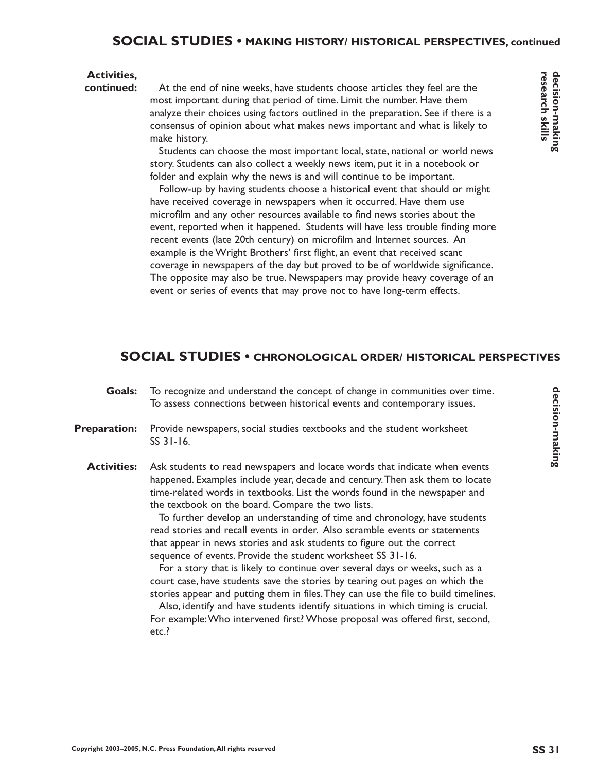#### **Activities,**

**continued:**

At the end of nine weeks, have students choose articles they feel are the most important during that period of time. Limit the number. Have them analyze their choices using factors outlined in the preparation. See if there is a consensus of opinion about what makes news important and what is likely to make history.

Students can choose the most important local, state, national or world news story. Students can also collect a weekly news item, put it in a notebook or folder and explain why the news is and will continue to be important.

Follow-up by having students choose a historical event that should or might have received coverage in newspapers when it occurred. Have them use microfilm and any other resources available to find news stories about the event, reported when it happened. Students will have less trouble finding more recent events (late 20th century) on microfilm and Internet sources. An example is the Wright Brothers' first flight, an event that received scant coverage in newspapers of the day but proved to be of worldwide significance. The opposite may also be true. Newspapers may provide heavy coverage of an event or series of events that may prove not to have long-term effects.

## **SOCIAL STUDIES • CHRONOLOGICAL ORDER/ HISTORICAL PERSPECTIVES**

- To recognize and understand the concept of change in communities over time. To assess connections between historical events and contemporary issues. **Goals:**
- Provide newspapers, social studies textbooks and the student worksheet SS 31-16. **Preparation:**
	- Ask students to read newspapers and locate words that indicate when events happened. Examples include year, decade and century.Then ask them to locate time-related words in textbooks. List the words found in the newspaper and the textbook on the board. Compare the two lists. **Activities:**

To further develop an understanding of time and chronology, have students read stories and recall events in order. Also scramble events or statements that appear in news stories and ask students to figure out the correct sequence of events. Provide the student worksheet SS 31-16.

For a story that is likely to continue over several days or weeks, such as a court case, have students save the stories by tearing out pages on which the stories appear and putting them in files.They can use the file to build timelines.

Also, identify and have students identify situations in which timing is crucial. For example:Who intervened first? Whose proposal was offered first, second, etc.?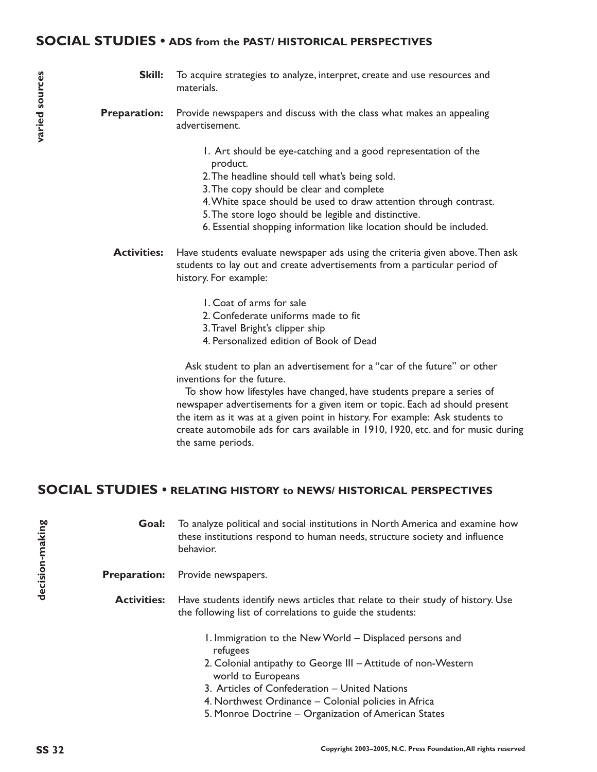#### **SOCIAL STUDIES • ADS from the PAST/ HISTORICAL PERSPECTIVES**

- Skill: To acquire strategies to analyze, interpret, create and use resources and materials.
- Provide newspapers and discuss with the class what makes an appealing advertisement. **Preparation:**
	- 1. Art should be eye-catching and a good representation of the product.
	- 2.The headline should tell what's being sold.
	- 3.The copy should be clear and complete
	- 4.White space should be used to draw attention through contrast.
	- 5.The store logo should be legible and distinctive.
	- 6. Essential shopping information like location should be included.
	- Have students evaluate newspaper ads using the criteria given above.Then ask students to lay out and create advertisements from a particular period of history. For example: **Activities:**
		- 1. Coat of arms for sale
		- 2. Confederate uniforms made to fit
		- 3.Travel Bright's clipper ship
		- 4. Personalized edition of Book of Dead

Ask student to plan an advertisement for a "car of the future" or other inventions for the future.

To show how lifestyles have changed, have students prepare a series of newspaper advertisements for a given item or topic. Each ad should present the item as it was at a given point in history. For example: Ask students to create automobile ads for cars available in 1910, 1920, etc. and for music during the same periods.

## **SOCIAL STUDIES • RELATING HISTORY to NEWS/ HISTORICAL PERSPECTIVES**

To analyze political and social institutions in North America and examine how these institutions respond to human needs, structure society and influence behavior. **Goal:**

Preparation: Provide newspapers.

Have students identify news articles that relate to their study of history. Use the following list of correlations to guide the students: **Activities:**

- 1. Immigration to the New World Displaced persons and refugees
- 2. Colonial antipathy to George III Attitude of non-Western world to Europeans
- 3. Articles of Confederation United Nations
- 4. Northwest Ordinance Colonial policies in Africa
- 5. Monroe Doctrine Organization of American States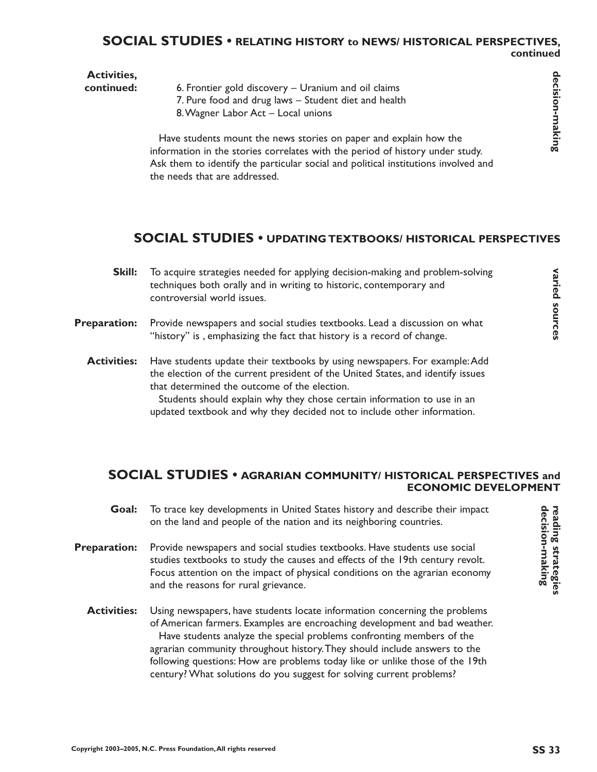#### **SOCIAL STUDIES • RELATING HISTORY to NEWS/ HISTORICAL PERSPECTIVES, continued**

| <b>Activities,</b><br>continued: | 6. Frontier gold discovery - Uranium and oil claims<br>7. Pure food and drug laws - Student diet and health<br>8. Wagner Labor Act - Local unions                                                                                                                                                                                                                                                                                                                      | decision-making               |
|----------------------------------|------------------------------------------------------------------------------------------------------------------------------------------------------------------------------------------------------------------------------------------------------------------------------------------------------------------------------------------------------------------------------------------------------------------------------------------------------------------------|-------------------------------|
|                                  | Have students mount the news stories on paper and explain how the<br>information in the stories correlates with the period of history under study.<br>Ask them to identify the particular social and political institutions involved and<br>the needs that are addressed.                                                                                                                                                                                              |                               |
|                                  | <b>SOCIAL STUDIES • UPDATING TEXTBOOKS/ HISTORICAL PERSPECTIVES</b>                                                                                                                                                                                                                                                                                                                                                                                                    |                               |
| Skill:                           | To acquire strategies needed for applying decision-making and problem-solving<br>techniques both orally and in writing to historic, contemporary and<br>controversial world issues.                                                                                                                                                                                                                                                                                    | varied sources                |
| reparation:                      | Provide newspapers and social studies textbooks. Lead a discussion on what<br>"history" is, emphasizing the fact that history is a record of change.                                                                                                                                                                                                                                                                                                                   |                               |
| <b>Activities:</b>               | Have students update their textbooks by using newspapers. For example: Add<br>the election of the current president of the United States, and identify issues<br>that determined the outcome of the election.<br>Students should explain why they chose certain information to use in an<br>updated textbook and why they decided not to include other information.                                                                                                    |                               |
|                                  | <b>SOCIAL STUDIES • AGRARIAN COMMUNITY/ HISTORICAL PERSPECTIVES and</b><br><b>ECONOMIC DEVELOPMENT</b>                                                                                                                                                                                                                                                                                                                                                                 |                               |
| Goal:                            | To trace key developments in United States history and describe their impact<br>on the land and people of the nation and its neighboring countries.                                                                                                                                                                                                                                                                                                                    | reading                       |
| reparation:                      | Provide newspapers and social studies textbooks. Have students use social<br>studies textbooks to study the causes and effects of the 19th century revolt.<br>Focus attention on the impact of physical conditions on the agrarian economy<br>and the reasons for rural grievance.                                                                                                                                                                                     | decision-making<br>strategies |
| <b>Activities:</b>               | Using newspapers, have students locate information concerning the problems<br>of American farmers. Examples are encroaching development and bad weather.<br>Have students analyze the special problems confronting members of the<br>agrarian community throughout history. They should include answers to the<br>following questions: How are problems today like or unlike those of the 19th<br>century? What solutions do you suggest for solving current problems? |                               |
|                                  | yright 2003–2005, N.C. Press Foundation, All rights reserved                                                                                                                                                                                                                                                                                                                                                                                                           | <b>SS 33</b>                  |

## **SOCIAL STUDIES • UPDATING TEXTBOOKS/ HISTORICAL PERSPECTIVES**

- To acquire strategies needed for applying decision-making and problem-solving techniques both orally and in writing to historic, contemporary and controversial world issues. **Skill:**
- Provide newspapers and social studies textbooks. Lead a discussion on what "history" is , emphasizing the fact that history is a record of change. **Preparation:**
	- Have students update their textbooks by using newspapers. For example:Add the election of the current president of the United States, and identify issues that determined the outcome of the election. Students should explain why they chose certain information to use in an **Activities:**

#### **SOCIAL STUDIES • AGRARIAN COMMUNITY/ HISTORICAL PERSPECTIVES and ECONOMIC DEVELOPMENT**

- To trace key developments in United States history and describe their impact on the land and people of the nation and its neighboring countries. **Goal:**
- Provide newspapers and social studies textbooks. Have students use social studies textbooks to study the causes and effects of the 19th century revolt. Focus attention on the impact of physical conditions on the agrarian economy and the reasons for rural grievance. **Preparation:**
	- Using newspapers, have students locate information concerning the problems of American farmers. Examples are encroaching development and bad weather. Have students analyze the special problems confronting members of the agrarian community throughout history.They should include answers to the following questions: How are problems today like or unlike those of the 19th century? What solutions do you suggest for solving current problems? **Activities:**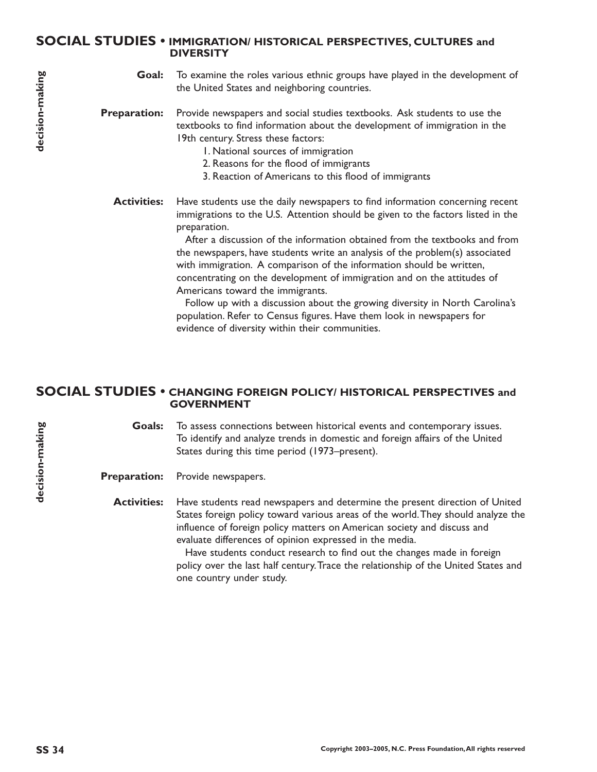#### **SOCIAL STUDIES • IMMIGRATION/ HISTORICAL PERSPECTIVES, CULTURES and DIVERSITY**

To examine the roles various ethnic groups have played in the development of the United States and neighboring countries. **Goal:**

Provide newspapers and social studies textbooks. Ask students to use the textbooks to find information about the development of immigration in the 19th century. Stress these factors: **Preparation:**

- 1. National sources of immigration
- 2. Reasons for the flood of immigrants
- 3. Reaction of Americans to this flood of immigrants
- Have students use the daily newspapers to find information concerning recent immigrations to the U.S. Attention should be given to the factors listed in the preparation. **Activities:**

After a discussion of the information obtained from the textbooks and from the newspapers, have students write an analysis of the problem(s) associated with immigration. A comparison of the information should be written, concentrating on the development of immigration and on the attitudes of Americans toward the immigrants.

Follow up with a discussion about the growing diversity in North Carolina's population. Refer to Census figures. Have them look in newspapers for evidence of diversity within their communities.

#### **SOCIAL STUDIES • CHANGING FOREIGN POLICY/ HISTORICAL PERSPECTIVES and GOVERNMENT**

To assess connections between historical events and contemporary issues. To identify and analyze trends in domestic and foreign affairs of the United States during this time period (1973–present). **Goals:**

Provide newspapers. **Preparation:**

Have students read newspapers and determine the present direction of United States foreign policy toward various areas of the world.They should analyze the influence of foreign policy matters on American society and discuss and evaluate differences of opinion expressed in the media. **Activities:**

> Have students conduct research to find out the changes made in foreign policy over the last half century.Trace the relationship of the United States and one country under study.

**decision-making**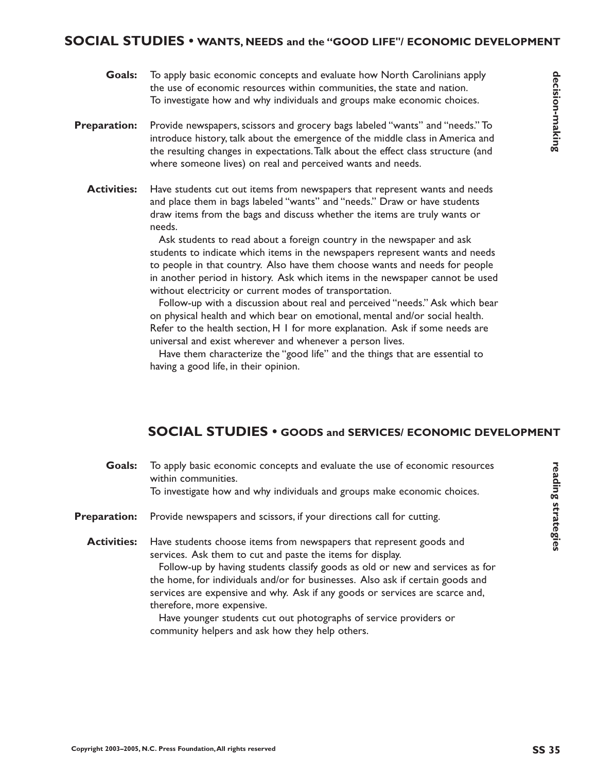#### **SOCIAL STUDIES • WANTS, NEEDS and the "GOOD LIFE"/ ECONOMIC DEVELOPMENT**

- To apply basic economic concepts and evaluate how North Carolinians apply the use of economic resources within communities, the state and nation. To investigate how and why individuals and groups make economic choices. **Goals:**
- Provide newspapers, scissors and grocery bags labeled "wants" and "needs." To introduce history, talk about the emergence of the middle class in America and the resulting changes in expectations.Talk about the effect class structure (and where someone lives) on real and perceived wants and needs. **Preparation:**
	- Have students cut out items from newspapers that represent wants and needs and place them in bags labeled "wants" and "needs." Draw or have students draw items from the bags and discuss whether the items are truly wants or needs. **Activities:**

Ask students to read about a foreign country in the newspaper and ask students to indicate which items in the newspapers represent wants and needs to people in that country. Also have them choose wants and needs for people in another period in history. Ask which items in the newspaper cannot be used without electricity or current modes of transportation.

Follow-up with a discussion about real and perceived "needs." Ask which bear on physical health and which bear on emotional, mental and/or social health. Refer to the health section, H 1 for more explanation. Ask if some needs are universal and exist wherever and whenever a person lives.

Have them characterize the "good life" and the things that are essential to having a good life, in their opinion.

## **SOCIAL STUDIES • GOODS and SERVICES/ ECONOMIC DEVELOPMENT**

| Goals:              | To apply basic economic concepts and evaluate the use of economic resources<br>within communities.<br>To investigate how and why individuals and groups make economic choices.                                                                                                                                                                                                                                                                                                                                                             |
|---------------------|--------------------------------------------------------------------------------------------------------------------------------------------------------------------------------------------------------------------------------------------------------------------------------------------------------------------------------------------------------------------------------------------------------------------------------------------------------------------------------------------------------------------------------------------|
| <b>Preparation:</b> | Provide newspapers and scissors, if your directions call for cutting.                                                                                                                                                                                                                                                                                                                                                                                                                                                                      |
| <b>Activities:</b>  | Have students choose items from newspapers that represent goods and<br>services. Ask them to cut and paste the items for display.<br>Follow-up by having students classify goods as old or new and services as for<br>the home, for individuals and/or for businesses. Also ask if certain goods and<br>services are expensive and why. Ask if any goods or services are scarce and,<br>therefore, more expensive.<br>Have younger students cut out photographs of service providers or<br>community helpers and ask how they help others. |

reading strategies

**eading strategies**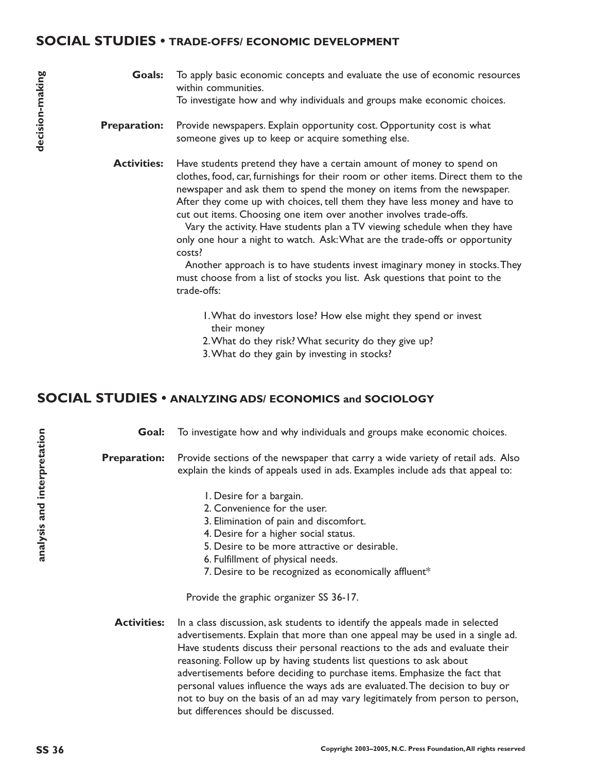#### **SOCIAL STUDIES • TRADE-OFFS/ ECONOMIC DEVELOPMENT**

- To apply basic economic concepts and evaluate the use of economic resources within communities. To investigate how and why individuals and groups make economic choices. **Goals:**
- Provide newspapers. Explain opportunity cost. Opportunity cost is what someone gives up to keep or acquire something else. **Preparation:**

Have students pretend they have a certain amount of money to spend on clothes, food, car, furnishings for their room or other items. Direct them to the newspaper and ask them to spend the money on items from the newspaper. After they come up with choices, tell them they have less money and have to cut out items. Choosing one item over another involves trade-offs. **Activities:**

> Vary the activity. Have students plan a TV viewing schedule when they have only one hour a night to watch. Ask:What are the trade-offs or opportunity costs?

Another approach is to have students invest imaginary money in stocks.They must choose from a list of stocks you list. Ask questions that point to the trade-offs:

- 1.What do investors lose? How else might they spend or invest their money
- 2.What do they risk? What security do they give up?
- 3.What do they gain by investing in stocks?

### **SOCIAL STUDIES • ANALYZING ADS/ ECONOMICS and SOCIOLOGY**

To investigate how and why individuals and groups make economic choices. **Goal:**

Provide sections of the newspaper that carry a wide variety of retail ads. Also explain the kinds of appeals used in ads. Examples include ads that appeal to: **Preparation:**

- 1. Desire for a bargain.
- 2. Convenience for the user.
- 3. Elimination of pain and discomfort.
- 4. Desire for a higher social status.
- 5. Desire to be more attractive or desirable.
- 6. Fulfillment of physical needs.
- 7. Desire to be recognized as economically affluent\*

Provide the graphic organizer SS 36-17.

In a class discussion, ask students to identify the appeals made in selected advertisements. Explain that more than one appeal may be used in a single ad. Have students discuss their personal reactions to the ads and evaluate their reasoning. Follow up by having students list questions to ask about advertisements before deciding to purchase items. Emphasize the fact that personal values influence the ways ads are evaluated.The decision to buy or not to buy on the basis of an ad may vary legitimately from person to person, but differences should be discussed. **Activities:**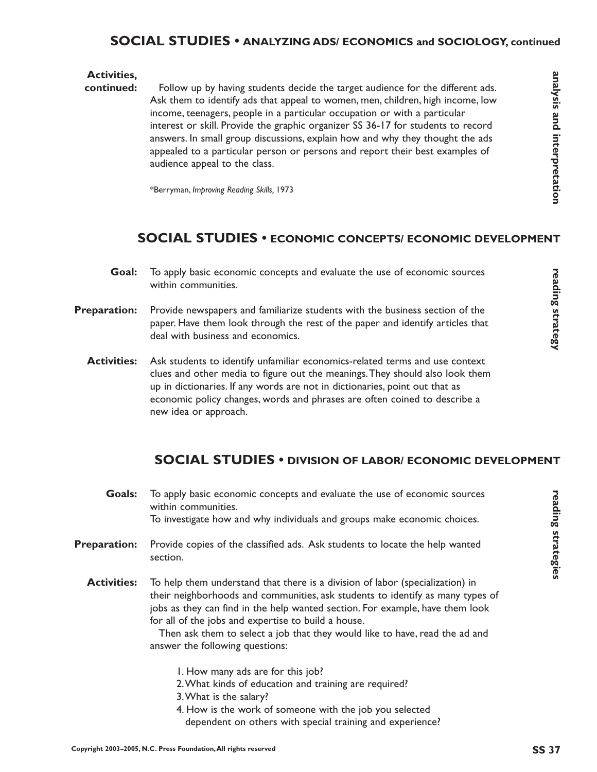## **SOCIAL STUDIES • ANALYZING ADS/ ECONOMICS and SOCIOLOGY, continued**

#### **Activities,**

Follow up by having students decide the target audience for the different ads. Ask them to identify ads that appeal to women, men, children, high income, low income, teenagers, people in a particular occupation or with a particular interest or skill. Provide the graphic organizer SS 36-17 for students to record answers. In small group discussions, explain how and why they thought the ads appealed to a particular person or persons and report their best examples of audience appeal to the class. **continued:**

\*Berryman, *Improving Reading Skills,* 1973

## **SOCIAL STUDIES • ECONOMIC CONCEPTS/ ECONOMIC DEVELOPMENT**

- To apply basic economic concepts and evaluate the use of economic sources within communities. **Goal:**
- Provide newspapers and familiarize students with the business section of the paper. Have them look through the rest of the paper and identify articles that deal with business and economics. **Preparation:**
	- Ask students to identify unfamiliar economics-related terms and use context clues and other media to figure out the meanings.They should also look them up in dictionaries. If any words are not in dictionaries, point out that as economic policy changes, words and phrases are often coined to describe a new idea or approach. **Activities:**

## **SOCIAL STUDIES • DIVISION OF LABOR/ ECONOMIC DEVELOPMENT**

To apply basic economic concepts and evaluate the use of economic sources within communities. To investigate how and why individuals and groups make economic choices. **Goals:**

- Provide copies of the classified ads. Ask students to locate the help wanted section. **Preparation:**
	- To help them understand that there is a division of labor (specialization) in their neighborhoods and communities, ask students to identify as many types of jobs as they can find in the help wanted section. For example, have them look for all of the jobs and expertise to build a house. **Activities:**

Then ask them to select a job that they would like to have, read the ad and answer the following questions:

- 1. How many ads are for this job?
- 2.What kinds of education and training are required?
- 3.What is the salary?
- 4. How is the work of someone with the job you selected dependent on others with special training and experience?

reading strategy

**eading strategy**

reading strategies

**eading strategies**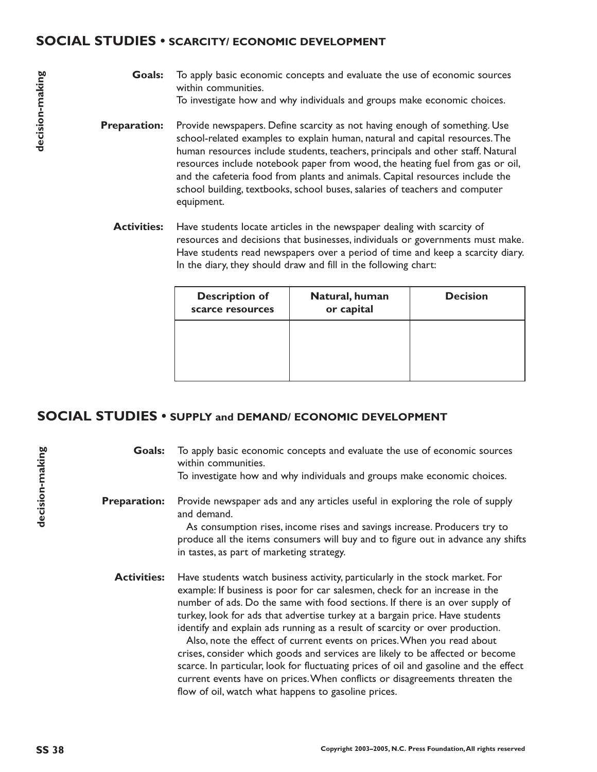## **SOCIAL STUDIES • SCARCITY/ ECONOMIC DEVELOPMENT**

To apply basic economic concepts and evaluate the use of economic sources within communities. To investigate how and why individuals and groups make economic choices. **Goals:**

- Provide newspapers. Define scarcity as not having enough of something. Use school-related examples to explain human, natural and capital resources.The human resources include students, teachers, principals and other staff. Natural resources include notebook paper from wood, the heating fuel from gas or oil, and the cafeteria food from plants and animals. Capital resources include the school building, textbooks, school buses, salaries of teachers and computer equipment. **Preparation:**
	- Have students locate articles in the newspaper dealing with scarcity of resources and decisions that businesses, individuals or governments must make. Have students read newspapers over a period of time and keep a scarcity diary. In the diary, they should draw and fill in the following chart: **Activities:**

| <b>Description of</b><br>scarce resources | Natural, human<br>or capital | <b>Decision</b> |
|-------------------------------------------|------------------------------|-----------------|
|                                           |                              |                 |
|                                           |                              |                 |

## **SOCIAL STUDIES • SUPPLY and DEMAND/ ECONOMIC DEVELOPMENT**

To apply basic economic concepts and evaluate the use of economic sources within communities. To investigate how and why individuals and groups make economic choices. Provide newspaper ads and any articles useful in exploring the role of supply and demand. As consumption rises, income rises and savings increase. Producers try to produce all the items consumers will buy and to figure out in advance any shifts in tastes, as part of marketing strategy. Have students watch business activity, particularly in the stock market. For example: If business is poor for car salesmen, check for an increase in the number of ads. Do the same with food sections. If there is an over supply of turkey, look for ads that advertise turkey at a bargain price. Have students identify and explain ads running as a result of scarcity or over production. **Goals: Preparation: Activities:**

Also, note the effect of current events on prices.When you read about crises, consider which goods and services are likely to be affected or become scarce. In particular, look for fluctuating prices of oil and gasoline and the effect current events have on prices.When conflicts or disagreements threaten the flow of oil, watch what happens to gasoline prices.

**decision-making**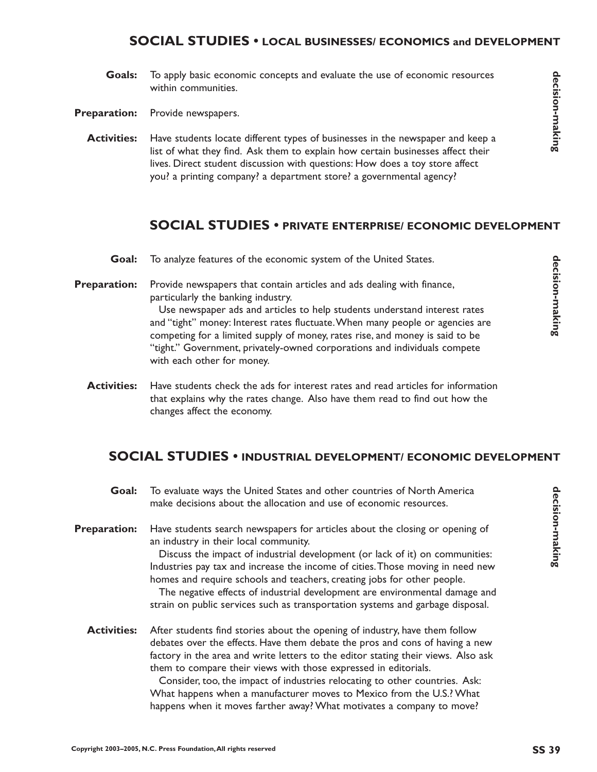### **SOCIAL STUDIES • LOCAL BUSINESSES/ ECONOMICS and DEVELOPMENT**

- To apply basic economic concepts and evaluate the use of economic resources within communities. **Goals:**
- Provide newspapers. **Preparation:**
	- Have students locate different types of businesses in the newspaper and keep a list of what they find. Ask them to explain how certain businesses affect their lives. Direct student discussion with questions: How does a toy store affect you? a printing company? a department store? a governmental agency? **Activities:**

#### **SOCIAL STUDIES • PRIVATE ENTERPRISE/ ECONOMIC DEVELOPMENT**

- To analyze features of the economic system of the United States. **Goal:**
- Provide newspapers that contain articles and ads dealing with finance, particularly the banking industry. **Preparation:**

Use newspaper ads and articles to help students understand interest rates and "tight" money: Interest rates fluctuate.When many people or agencies are competing for a limited supply of money, rates rise, and money is said to be "tight." Government, privately-owned corporations and individuals compete with each other for money.

Have students check the ads for interest rates and read articles for information that explains why the rates change. Also have them read to find out how the changes affect the economy. **Activities:**

## **SOCIAL STUDIES • INDUSTRIAL DEVELOPMENT/ ECONOMIC DEVELOPMENT**

- To evaluate ways the United States and other countries of North America make decisions about the allocation and use of economic resources. **Goal:**
- Have students search newspapers for articles about the closing or opening of an industry in their local community. **Preparation:**

Discuss the impact of industrial development (or lack of it) on communities: Industries pay tax and increase the income of cities.Those moving in need new homes and require schools and teachers, creating jobs for other people.

The negative effects of industrial development are environmental damage and strain on public services such as transportation systems and garbage disposal.

After students find stories about the opening of industry, have them follow debates over the effects. Have them debate the pros and cons of having a new factory in the area and write letters to the editor stating their views. Also ask them to compare their views with those expressed in editorials. **Activities:**

> Consider, too, the impact of industries relocating to other countries. Ask: What happens when a manufacturer moves to Mexico from the U.S.? What happens when it moves farther away? What motivates a company to move?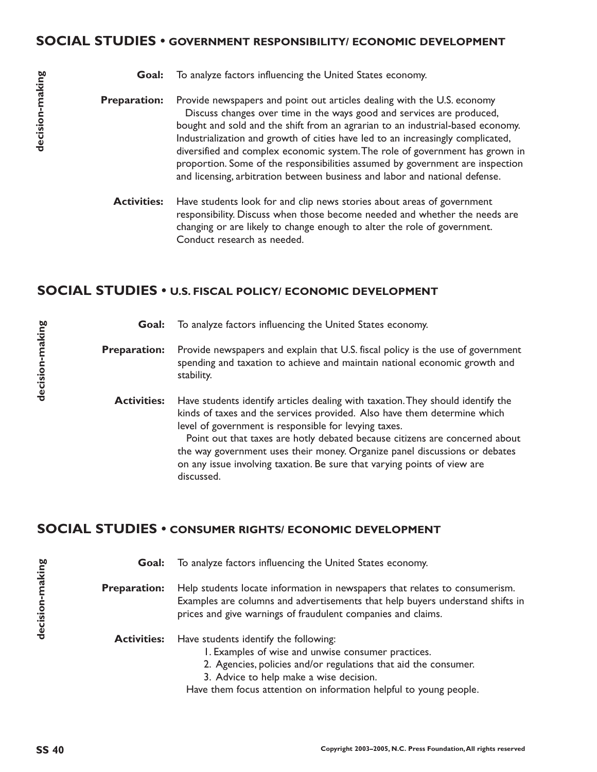#### **SOCIAL STUDIES • GOVERNMENT RESPONSIBILITY/ ECONOMIC DEVELOPMENT**

|  | <b>Goal:</b> To analyze factors influencing the United States economy. |
|--|------------------------------------------------------------------------|
|--|------------------------------------------------------------------------|

Provide newspapers and point out articles dealing with the U.S. economy Discuss changes over time in the ways good and services are produced, bought and sold and the shift from an agrarian to an industrial-based economy. Industrialization and growth of cities have led to an increasingly complicated, diversified and complex economic system.The role of government has grown in proportion. Some of the responsibilities assumed by government are inspection and licensing, arbitration between business and labor and national defense. **Preparation:**

Have students look for and clip news stories about areas of government responsibility. Discuss when those become needed and whether the needs are changing or are likely to change enough to alter the role of government. Conduct research as needed. **Activities:**

## **SOCIAL STUDIES • U.S. FISCAL POLICY/ ECONOMIC DEVELOPMENT**

| Goal:               | To analyze factors influencing the United States economy.                                                                                                                                                                                                                                                                                                                                                                                                                   |
|---------------------|-----------------------------------------------------------------------------------------------------------------------------------------------------------------------------------------------------------------------------------------------------------------------------------------------------------------------------------------------------------------------------------------------------------------------------------------------------------------------------|
| <b>Preparation:</b> | Provide newspapers and explain that U.S. fiscal policy is the use of government<br>spending and taxation to achieve and maintain national economic growth and<br>stability.                                                                                                                                                                                                                                                                                                 |
| <b>Activities:</b>  | Have students identify articles dealing with taxation. They should identify the<br>kinds of taxes and the services provided. Also have them determine which<br>level of government is responsible for levying taxes.<br>Point out that taxes are hotly debated because citizens are concerned about<br>the way government uses their money. Organize panel discussions or debates<br>on any issue involving taxation. Be sure that varying points of view are<br>discussed. |

## **SOCIAL STUDIES • CONSUMER RIGHTS/ ECONOMIC DEVELOPMENT**

**SS 40 decision-making** To analyze factors influencing the United States economy. Help students locate information in newspapers that relates to consumerism. Examples are columns and advertisements that help buyers understand shifts in prices and give warnings of fraudulent companies and claims. Have students identify the following: 1. Examples of wise and unwise consumer practices. 2. Agencies, policies and/or regulations that aid the consumer. 3. Advice to help make a wise decision. Have them focus attention on information helpful to young people. **Goal: Preparation: Activities:**

decision-making

**decision-making**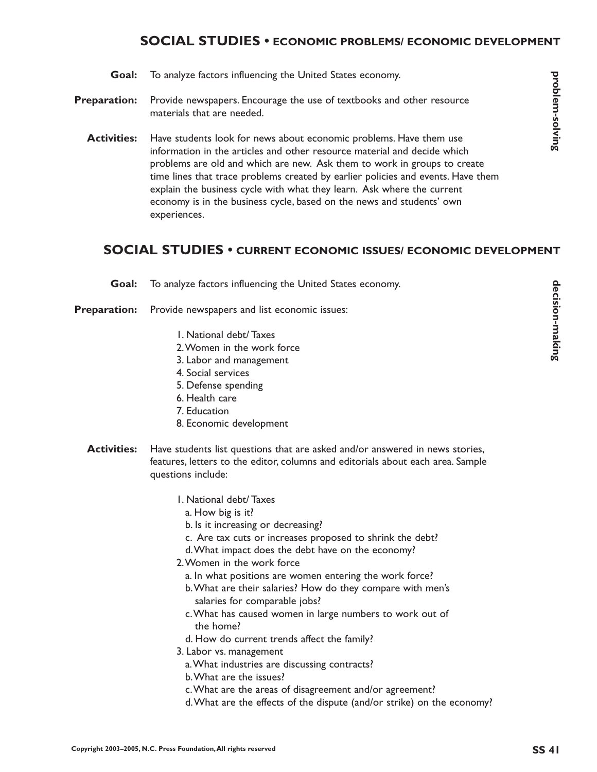## **SOCIAL STUDIES • ECONOMIC PROBLEMS/ ECONOMIC DEVELOPMENT**

- To analyze factors influencing the United States economy. **Goal:**
- Provide newspapers. Encourage the use of textbooks and other resource materials that are needed. **Preparation:**
	- Have students look for news about economic problems. Have them use information in the articles and other resource material and decide which problems are old and which are new. Ask them to work in groups to create time lines that trace problems created by earlier policies and events. Have them explain the business cycle with what they learn. Ask where the current economy is in the business cycle, based on the news and students' own experiences. **Activities:**

## **SOCIAL STUDIES • CURRENT ECONOMIC ISSUES/ ECONOMIC DEVELOPMENT**

To analyze factors influencing the United States economy. **Goal:**

Provide newspapers and list economic issues: **Preparation:**

- 1. National debt/ Taxes
- 2.Women in the work force
- 3. Labor and management
- 4. Social services
- 5. Defense spending
- 6. Health care
- 7. Education
- 8. Economic development
- Have students list questions that are asked and/or answered in news stories, features, letters to the editor, columns and editorials about each area. Sample questions include: **Activities:**
	- 1. National debt/ Taxes
		- a. How big is it?
		- b. Is it increasing or decreasing?
		- c. Are tax cuts or increases proposed to shrink the debt?
		- d.What impact does the debt have on the economy?
	- 2.Women in the work force
	- a. In what positions are women entering the work force?
	- b.What are their salaries? How do they compare with men's salaries for comparable jobs?
	- c.What has caused women in large numbers to work out of the home?
	- d. How do current trends affect the family?
	- 3. Labor vs. management
		- a.What industries are discussing contracts?
		- b.What are the issues?
		- c.What are the areas of disagreement and/or agreement?
		- d.What are the effects of the dispute (and/or strike) on the economy?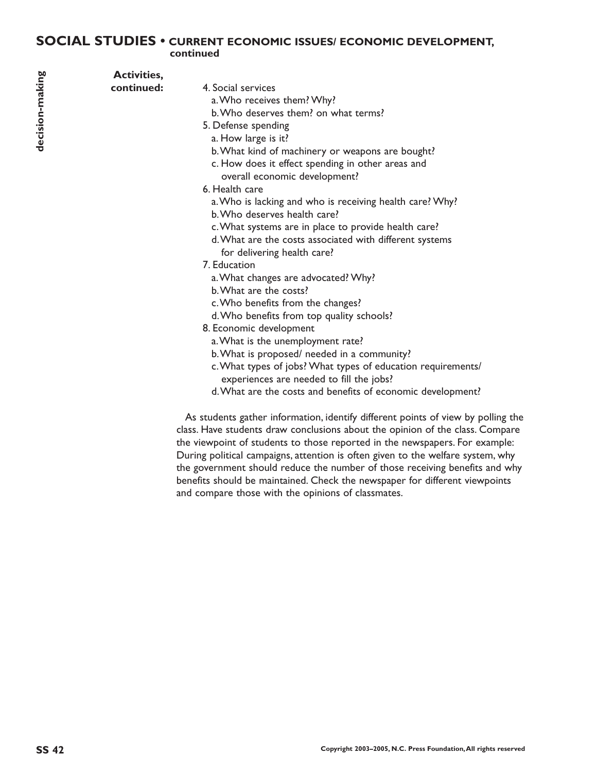#### **SOCIAL STUDIES • CURRENT ECONOMIC ISSUES/ ECONOMIC DEVELOPMENT, continued**

| <b>Activities,</b> |                                                              |
|--------------------|--------------------------------------------------------------|
| continued:         | 4. Social services                                           |
|                    | a. Who receives them? Why?                                   |
|                    | b. Who deserves them? on what terms?                         |
|                    | 5. Defense spending                                          |
|                    | a. How large is it?                                          |
|                    | b. What kind of machinery or weapons are bought?             |
|                    | c. How does it effect spending in other areas and            |
|                    | overall economic development?                                |
|                    | 6. Health care                                               |
|                    | a. Who is lacking and who is receiving health care? Why?     |
|                    | b. Who deserves health care?                                 |
|                    | c. What systems are in place to provide health care?         |
|                    | d. What are the costs associated with different systems      |
|                    | for delivering health care?                                  |
|                    | 7. Education                                                 |
|                    | a. What changes are advocated? Why?                          |
|                    | b. What are the costs?                                       |
|                    | c. Who benefits from the changes?                            |
|                    | d. Who benefits from top quality schools?                    |
|                    | 8. Economic development                                      |
|                    | a. What is the unemployment rate?                            |
|                    | b. What is proposed/ needed in a community?                  |
|                    | c. What types of jobs? What types of education requirements/ |
|                    | experiences are needed to fill the jobs?                     |
|                    | d. What are the costs and benefits of economic development?  |

As students gather information, identify different points of view by polling the class. Have students draw conclusions about the opinion of the class. Compare the viewpoint of students to those reported in the newspapers. For example: During political campaigns, attention is often given to the welfare system, why the government should reduce the number of those receiving benefits and why benefits should be maintained. Check the newspaper for different viewpoints and compare those with the opinions of classmates.